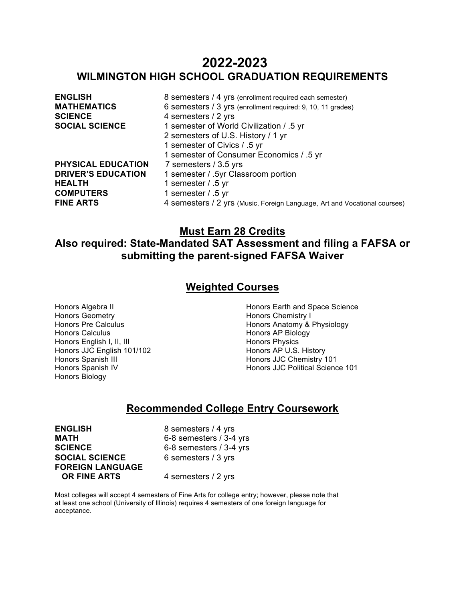# **2022-2023 WILMINGTON HIGH SCHOOL GRADUATION REQUIREMENTS**

| <b>ENGLISH</b>            | 8 semesters / 4 yrs (enrollment required each semester)                   |
|---------------------------|---------------------------------------------------------------------------|
| <b>MATHEMATICS</b>        | 6 semesters / 3 yrs (enrollment required: 9, 10, 11 grades)               |
| <b>SCIENCE</b>            | 4 semesters / 2 yrs                                                       |
| <b>SOCIAL SCIENCE</b>     | 1 semester of World Civilization / .5 yr                                  |
|                           | 2 semesters of U.S. History / 1 yr                                        |
|                           | 1 semester of Civics / .5 yr                                              |
|                           | 1 semester of Consumer Economics / .5 yr                                  |
| PHYSICAL EDUCATION        | 7 semesters / 3.5 yrs                                                     |
| <b>DRIVER'S EDUCATION</b> | 1 semester / .5yr Classroom portion                                       |
| <b>HEALTH</b>             | 1 semester $/$ .5 yr                                                      |
| <b>COMPUTERS</b>          | 1 semester / .5 yr                                                        |
| <b>FINE ARTS</b>          | 4 semesters / 2 yrs (Music, Foreign Language, Art and Vocational courses) |
|                           |                                                                           |

# **Must Earn 28 Credits**

# **Also required: State-Mandated SAT Assessment and filing a FAFSA or submitting the parent-signed FAFSA Waiver**

# **Weighted Courses**

Honors Algebra II Honors Geometry Honors Pre Calculus Honors Calculus Honors English I, II, III Honors JJC English 101/102 Honors Spanish III Honors Spanish IV Honors Biology

Honors Earth and Space Science Honors Chemistry I Honors Anatomy & Physiology Honors AP Biology Honors Physics Honors AP U.S. History Honors JJC Chemistry 101 Honors JJC Political Science 101

# **Recommended College Entry Coursework**

**ENGLISH** 8 semesters / 4 yrs<br> **MATH** 6-8 semesters / 3-4 **SCIENCE** 6-8 semesters / 3-4 yrs **SOCIAL SCIENCE** 6 semesters / 3 yrs **FOREIGN LANGUAGE OR FINE ARTS** 4 semesters / 2 yrs

**MATH** 6-8 semesters / 3-4 yrs

Most colleges will accept 4 semesters of Fine Arts for college entry; however, please note that at least one school (University of Illinois) requires 4 semesters of one foreign language for acceptance.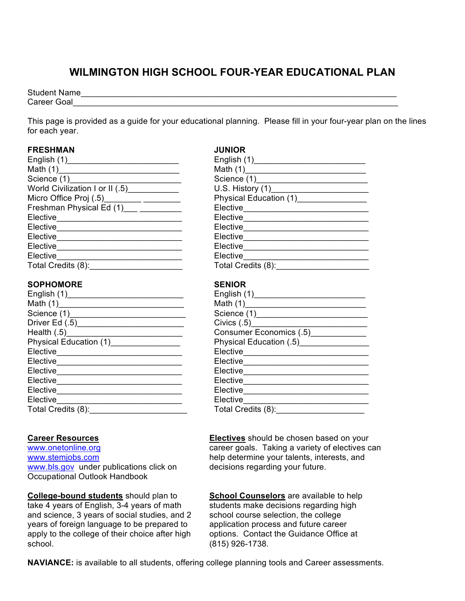# **WILMINGTON HIGH SCHOOL FOUR-YEAR EDUCATIONAL PLAN**

Student Name\_\_\_\_\_\_\_\_\_\_\_\_\_\_\_\_\_\_\_\_\_\_\_\_\_\_\_\_\_\_\_\_\_\_\_\_\_\_\_\_\_\_\_\_\_\_\_\_\_\_\_\_\_\_\_\_\_\_\_\_\_\_\_\_\_\_\_\_ Career Goal

This page is provided as a guide for your educational planning. Please fill in your four-year plan on the lines for each year.

# **FRESHMAN JUNIOR**

| English (1)________________________________ | English (1) <b>English</b> (1)        |
|---------------------------------------------|---------------------------------------|
|                                             |                                       |
|                                             |                                       |
| World Civilization I or II (.5) ___________ |                                       |
|                                             | Physical Education (1) ______________ |
| Freshman Physical Ed (1) ___ _________      |                                       |
| Elective _________________________________  | Elective______________________        |
|                                             | Elective________________________      |
| Elective ________________________________   |                                       |
| Elective______________________              | Elective___________                   |
| Elective                                    | Elective                              |
| Total Credits (8): _________                | Total Credits (8): _______            |
|                                             |                                       |

# **SOPHOMORE SENIOR**

|                                         | Consumer Economics (.5)                              |  |
|-----------------------------------------|------------------------------------------------------|--|
| Physical Education (1) [20]             | Physical Education (.5) [19] Physical Education (.5) |  |
|                                         | Elective______________________                       |  |
| Elective_______________________________ | Elective_______________________                      |  |
| Elective____________________            | Elective <sub>1</sub>                                |  |
| Elective______________________________  | Elective_____________________                        |  |
| Elective <b>Example</b>                 | Elective _______                                     |  |
| Elective                                | Elective                                             |  |
| Total Credits (8):                      | Total Credits (8):                                   |  |

# **Career Resources**

www.onetonline.org www.stemjobs.com www.bls.gov under publications click on Occupational Outlook Handbook

**College-bound students** should plan to take 4 years of English, 3-4 years of math and science, 3 years of social studies, and 2 years of foreign language to be prepared to apply to the college of their choice after high school.

| English (1)_________________________           | English $(1)$                       |
|------------------------------------------------|-------------------------------------|
| Math (1)_______________________________        |                                     |
| Science (1)__________________________          |                                     |
| World Civilization I or II (.5) [1994]         | U.S. History (1)___________________ |
| Micro Office Proj (.5)________________________ | Physical Education (1) [10]         |
| Freshman Physical Ed (1)___ _________          | Elective                            |
| Elective_______________________________        | Elective_______________             |
| Elective                                       | Elective                            |
| Elective_____________________________          | Elective_______________             |
| Elective _______                               | Elective                            |
| Elective                                       | Elective                            |
| Total Credits (8):                             | Total Credits (8):                  |
|                                                |                                     |

| English (1)______________________________             |                                  |
|-------------------------------------------------------|----------------------------------|
| Math (1)_________________________________             |                                  |
| Science (1)____________________________               |                                  |
| Driver Ed (.5)___________________________             |                                  |
| Health (.5)______________________________             | Consumer Economics (.5)          |
| Physical Education (1)_________________               | Physical Education (.5) [19]     |
| Elective___ <sub>_____</sub> ________________________ | Elective________________________ |
| Elective_____________________________                 | Elective ________________        |
| Elective_______________________________               | Elective_______________          |
| Elective                                              | Elective                         |
| Elective ___________________                          | Elective                         |
| Elective_______                                       | Elective _______                 |
| Total Credits (8): ________                           | Total Credits (8):               |
|                                                       |                                  |

**Electives** should be chosen based on your career goals. Taking a variety of electives can help determine your talents, interests, and decisions regarding your future.

**School Counselors** are available to help students make decisions regarding high school course selection, the college application process and future career options. Contact the Guidance Office at (815) 926-1738.

**NAVIANCE:** is available to all students, offering college planning tools and Career assessments.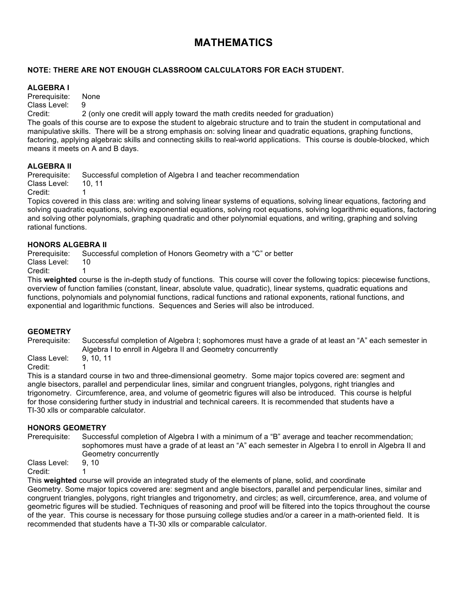# **MATHEMATICS**

# **NOTE: THERE ARE NOT ENOUGH CLASSROOM CALCULATORS FOR EACH STUDENT.**

### **ALGEBRA I**

Prerequisite: None Class Level: 9

Credit: 2 (only one credit will apply toward the math credits needed for graduation)

The goals of this course are to expose the student to algebraic structure and to train the student in computational and manipulative skills. There will be a strong emphasis on: solving linear and quadratic equations, graphing functions, factoring, applying algebraic skills and connecting skills to real-world applications. This course is double-blocked, which means it meets on A and B days.

# **ALGEBRA II**

Prerequisite: Successful completion of Algebra I and teacher recommendation Class Level: 10, 11 Credit:

Topics covered in this class are: writing and solving linear systems of equations, solving linear equations, factoring and solving quadratic equations, solving exponential equations, solving root equations, solving logarithmic equations, factoring and solving other polynomials, graphing quadratic and other polynomial equations, and writing, graphing and solving rational functions.

### **HONORS ALGEBRA II**

Prerequisite: Successful completion of Honors Geometry with a "C" or better

Class Level: 10

Credit:

This **weighted** course is the in-depth study of functions. This course will cover the following topics: piecewise functions, overview of function families (constant, linear, absolute value, quadratic), linear systems, quadratic equations and functions, polynomials and polynomial functions, radical functions and rational exponents, rational functions, and exponential and logarithmic functions. Sequences and Series will also be introduced.

# **GEOMETRY**

Prerequisite: Successful completion of Algebra I; sophomores must have a grade of at least an "A" each semester in Algebra I to enroll in Algebra II and Geometry concurrently

Class Level: 9, 10, 11 Credit: 1

This is a standard course in two and three-dimensional geometry. Some major topics covered are: segment and angle bisectors, parallel and perpendicular lines, similar and congruent triangles, polygons, right triangles and trigonometry. Circumference, area, and volume of geometric figures will also be introduced. This course is helpful for those considering further study in industrial and technical careers. It is recommended that students have a TI-30 xlls or comparable calculator.

# **HONORS GEOMETRY**

Prerequisite: Successful completion of Algebra I with a minimum of a "B" average and teacher recommendation; sophomores must have a grade of at least an "A" each semester in Algebra I to enroll in Algebra II and Geometry concurrently

Class Level: 9, 10

Credit: 1

This **weighted** course will provide an integrated study of the elements of plane, solid, and coordinate Geometry. Some major topics covered are: segment and angle bisectors, parallel and perpendicular lines, similar and congruent triangles, polygons, right triangles and trigonometry, and circles; as well, circumference, area, and volume of geometric figures will be studied. Techniques of reasoning and proof will be filtered into the topics throughout the course of the year. This course is necessary for those pursuing college studies and/or a career in a math-oriented field. It is recommended that students have a TI-30 xlls or comparable calculator.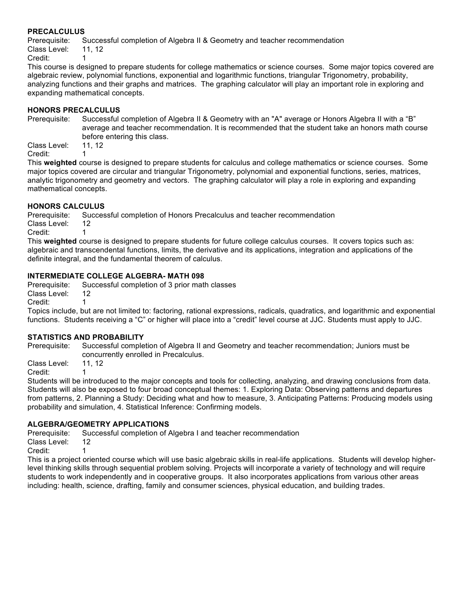### **PRECALCULUS**

Prerequisite: Successful completion of Algebra II & Geometry and teacher recommendation Class Level: 11, 12

Credit: 1

This course is designed to prepare students for college mathematics or science courses. Some major topics covered are algebraic review, polynomial functions, exponential and logarithmic functions, triangular Trigonometry, probability, analyzing functions and their graphs and matrices. The graphing calculator will play an important role in exploring and expanding mathematical concepts.

### **HONORS PRECALCULUS**

Prerequisite: Successful completion of Algebra II & Geometry with an "A" average or Honors Algebra II with a "B" average and teacher recommendation. It is recommended that the student take an honors math course before entering this class.

Class Level: 11, 12 Credit: 1

This **weighted** course is designed to prepare students for calculus and college mathematics or science courses. Some major topics covered are circular and triangular Trigonometry, polynomial and exponential functions, series, matrices, analytic trigonometry and geometry and vectors. The graphing calculator will play a role in exploring and expanding mathematical concepts.

### **HONORS CALCULUS**

Prerequisite: Successful completion of Honors Precalculus and teacher recommendation Class Level: 12

Credit: 1

This **weighted** course is designed to prepare students for future college calculus courses. It covers topics such as: algebraic and transcendental functions, limits, the derivative and its applications, integration and applications of the definite integral, and the fundamental theorem of calculus.

### **INTERMEDIATE COLLEGE ALGEBRA- MATH 098**

Prerequisite: Successful completion of 3 prior math classes Class Level: 12

Credit: 1

Topics include, but are not limited to: factoring, rational expressions, radicals, quadratics, and logarithmic and exponential functions. Students receiving a "C" or higher will place into a "credit" level course at JJC. Students must apply to JJC.

### **STATISTICS AND PROBABILITY**

Prerequisite: Successful completion of Algebra II and Geometry and teacher recommendation; Juniors must be concurrently enrolled in Precalculus.

Class Level: 11, 12

Credit: 1

Students will be introduced to the major concepts and tools for collecting, analyzing, and drawing conclusions from data. Students will also be exposed to four broad conceptual themes: 1. Exploring Data: Observing patterns and departures from patterns, 2. Planning a Study: Deciding what and how to measure, 3. Anticipating Patterns: Producing models using probability and simulation, 4. Statistical Inference: Confirming models.

# **ALGEBRA/GEOMETRY APPLICATIONS**

Prerequisite: Successful completion of Algebra I and teacher recommendation

Class Level: 12

Credit: 1

This is a project oriented course which will use basic algebraic skills in real-life applications. Students will develop higherlevel thinking skills through sequential problem solving. Projects will incorporate a variety of technology and will require students to work independently and in cooperative groups. It also incorporates applications from various other areas including: health, science, drafting, family and consumer sciences, physical education, and building trades.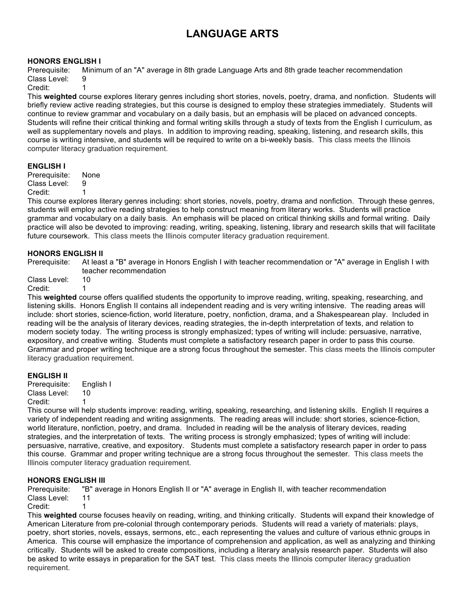# **LANGUAGE ARTS**

### **HONORS ENGLISH I**

Prerequisite: Minimum of an "A" average in 8th grade Language Arts and 8th grade teacher recommendation Class Level: 9

Credit: 1

This **weighted** course explores literary genres including short stories, novels, poetry, drama, and nonfiction. Students will briefly review active reading strategies, but this course is designed to employ these strategies immediately. Students will continue to review grammar and vocabulary on a daily basis, but an emphasis will be placed on advanced concepts. Students will refine their critical thinking and formal writing skills through a study of texts from the English I curriculum, as well as supplementary novels and plays. In addition to improving reading, speaking, listening, and research skills, this course is writing intensive, and students will be required to write on a bi-weekly basis. This class meets the Illinois computer literacy graduation requirement.

### **ENGLISH I**

Prerequisite: None Class Level: 9 Credit:

This course explores literary genres including: short stories, novels, poetry, drama and nonfiction. Through these genres, students will employ active reading strategies to help construct meaning from literary works. Students will practice grammar and vocabulary on a daily basis. An emphasis will be placed on critical thinking skills and formal writing. Daily practice will also be devoted to improving: reading, writing, speaking, listening, library and research skills that will facilitate future coursework. This class meets the Illinois computer literacy graduation requirement.

### **HONORS ENGLISH II**

Prerequisite: At least a "B" average in Honors English I with teacher recommendation or "A" average in English I with teacher recommendation

Class Level: 10

Credit:

This **weighted** course offers qualified students the opportunity to improve reading, writing, speaking, researching, and listening skills. Honors English II contains all independent reading and is very writing intensive. The reading areas will include: short stories, science-fiction, world literature, poetry, nonfiction, drama, and a Shakespearean play. Included in reading will be the analysis of literary devices, reading strategies, the in-depth interpretation of texts, and relation to modern society today. The writing process is strongly emphasized; types of writing will include: persuasive, narrative, expository, and creative writing. Students must complete a satisfactory research paper in order to pass this course. Grammar and proper writing technique are a strong focus throughout the semester. This class meets the Illinois computer literacy graduation requirement.

### **ENGLISH II**

Prerequisite: English I Class Level: 10 Credit<sup>-</sup>

This course will help students improve: reading, writing, speaking, researching, and listening skills. English II requires a variety of independent reading and writing assignments. The reading areas will include: short stories, science-fiction, world literature, nonfiction, poetry, and drama. Included in reading will be the analysis of literary devices, reading strategies, and the interpretation of texts. The writing process is strongly emphasized; types of writing will include: persuasive, narrative, creative, and expository. Students must complete a satisfactory research paper in order to pass this course. Grammar and proper writing technique are a strong focus throughout the semester. This class meets the Illinois computer literacy graduation requirement.

# **HONORS ENGLISH III**

Prerequisite: "B" average in Honors English II or "A" average in English II, with teacher recommendation Class Level: 11

Credit: 1

This **weighted** course focuses heavily on reading, writing, and thinking critically. Students will expand their knowledge of American Literature from pre-colonial through contemporary periods. Students will read a variety of materials: plays, poetry, short stories, novels, essays, sermons, etc., each representing the values and culture of various ethnic groups in America. This course will emphasize the importance of comprehension and application, as well as analyzing and thinking critically. Students will be asked to create compositions, including a literary analysis research paper. Students will also be asked to write essays in preparation for the SAT test. This class meets the Illinois computer literacy graduation requirement.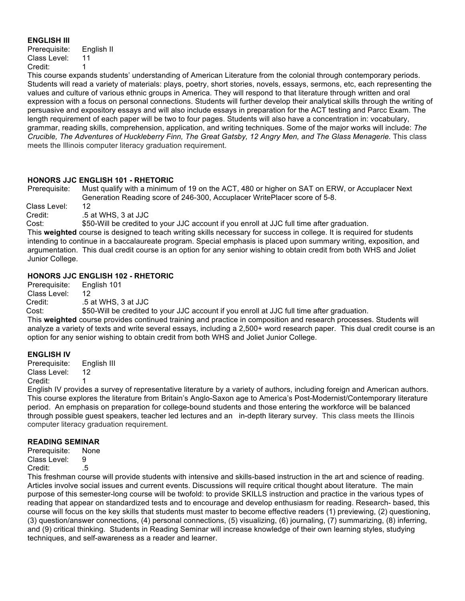### **ENGLISH III**

| Prerequisite: | English II |
|---------------|------------|
| Class Level:  | 11         |
| Credit:       | 1          |

This course expands students' understanding of American Literature from the colonial through contemporary periods. Students will read a variety of materials: plays, poetry, short stories, novels, essays, sermons, etc, each representing the values and culture of various ethnic groups in America. They will respond to that literature through written and oral expression with a focus on personal connections. Students will further develop their analytical skills through the writing of persuasive and expository essays and will also include essays in preparation for the ACT testing and Parcc Exam. The length requirement of each paper will be two to four pages. Students will also have a concentration in: vocabulary, grammar, reading skills, comprehension, application, and writing techniques. Some of the major works will include: *The Crucible, The Adventures of Huckleberry Finn, The Great Gatsby, 12 Angry Men, and The Glass Menagerie.* This class meets the Illinois computer literacy graduation requirement.

### **HONORS JJC ENGLISH 101 - RHETORIC**

Prerequisite: Must qualify with a minimum of 19 on the ACT, 480 or higher on SAT on ERW, or Accuplacer Next Generation Reading score of 246-300, Accuplacer WritePlacer score of 5-8.

Class Level: 12 Credit: .5 at WHS, 3 at JJC

Cost: \$50-Will be credited to your JJC account if you enroll at JJC full time after graduation.

This **weighted** course is designed to teach writing skills necessary for success in college. It is required for students intending to continue in a baccalaureate program. Special emphasis is placed upon summary writing, exposition, and argumentation. This dual credit course is an option for any senior wishing to obtain credit from both WHS and Joliet Junior College.

# **HONORS JJC ENGLISH 102 - RHETORIC**

Prerequisite: English 101 Class Level: 12 Credit: .5 at WHS, 3 at JJC

Cost: \$50-Will be credited to your JJC account if you enroll at JJC full time after graduation.

This **weighted** course provides continued training and practice in composition and research processes. Students will analyze a variety of texts and write several essays, including a 2,500+ word research paper. This dual credit course is an option for any senior wishing to obtain credit from both WHS and Joliet Junior College.

### **ENGLISH IV**

Prerequisite: English III Class Level: 12 Credit:

English IV provides a survey of representative literature by a variety of authors, including foreign and American authors. This course explores the literature from Britain's Anglo-Saxon age to America's Post-Modernist/Contemporary literature period. An emphasis on preparation for college-bound students and those entering the workforce will be balanced through possible guest speakers, teacher led lectures and an in-depth literary survey. This class meets the Illinois computer literacy graduation requirement.

# **READING SEMINAR**

Prerequisite: None Class Level: 9 Credit: .5

This freshman course will provide students with intensive and skills-based instruction in the art and science of reading. Articles involve social issues and current events. Discussions will require critical thought about literature. The main purpose of this semester-long course will be twofold: to provide SKILLS instruction and practice in the various types of reading that appear on standardized tests and to encourage and develop enthusiasm for reading. Research- based, this course will focus on the key skills that students must master to become effective readers (1) previewing, (2) questioning, (3) question/answer connections, (4) personal connections, (5) visualizing, (6) journaling, (7) summarizing, (8) inferring, and (9) critical thinking. Students in Reading Seminar will increase knowledge of their own learning styles, studying techniques, and self-awareness as a reader and learner.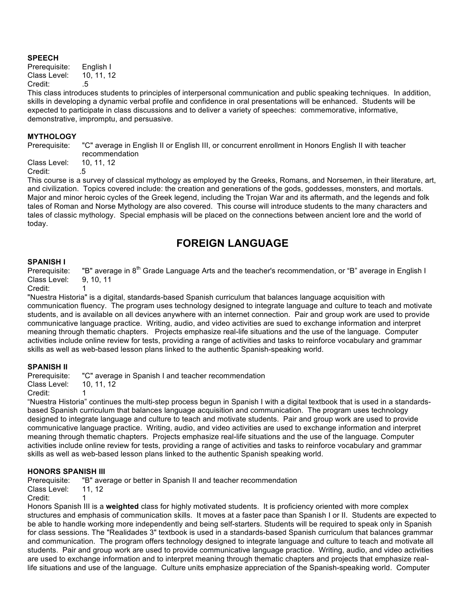### **SPEECH**

Prerequisite: English I<br>Class Level: 10, 11, 12 Class Level: Credit: .5

This class introduces students to principles of interpersonal communication and public speaking techniques. In addition, skills in developing a dynamic verbal profile and confidence in oral presentations will be enhanced. Students will be expected to participate in class discussions and to deliver a variety of speeches: commemorative, informative, demonstrative, impromptu, and persuasive.

#### **MYTHOLOGY**

Prerequisite: "C" average in English II or English III, or concurrent enrollment in Honors English II with teacher recommendation

Class Level: 10, 11, 12 Credit: .5

This course is a survey of classical mythology as employed by the Greeks, Romans, and Norsemen, in their literature, art, and civilization. Topics covered include: the creation and generations of the gods, goddesses, monsters, and mortals. Major and minor heroic cycles of the Greek legend, including the Trojan War and its aftermath, and the legends and folk tales of Roman and Norse Mythology are also covered. This course will introduce students to the many characters and tales of classic mythology. Special emphasis will be placed on the connections between ancient lore and the world of today.

# **FOREIGN LANGUAGE**

#### **SPANISH I**

Prerequisite: "B" average in 8<sup>th</sup> Grade Language Arts and the teacher's recommendation, or "B" average in English I Class Level: 9, 10, 11

Credit:

"Nuestra Historia" is a digital, standards-based Spanish curriculum that balances language acquisition with communication fluency. The program uses technology designed to integrate language and culture to teach and motivate students, and is available on all devices anywhere with an internet connection. Pair and group work are used to provide communicative language practice. Writing, audio, and video activities are sued to exchange information and interpret meaning through thematic chapters. Projects emphasize real-life situations and the use of the language. Computer activities include online review for tests, providing a range of activities and tasks to reinforce vocabulary and grammar skills as well as web-based lesson plans linked to the authentic Spanish-speaking world.

### **SPANISH II**

| Prerequisite:                             | "C" average in Spanish I and teacher recommendation |
|-------------------------------------------|-----------------------------------------------------|
| Class Level:                              | 10. 11. 12                                          |
| $\sim$ $\sim$ $\sim$ $\sim$ $\sim$ $\sim$ |                                                     |

Credit: 1

"Nuestra Historia" continues the multi-step process begun in Spanish I with a digital textbook that is used in a standardsbased Spanish curriculum that balances language acquisition and communication. The program uses technology designed to integrate language and culture to teach and motivate students. Pair and group work are used to provide communicative language practice. Writing, audio, and video activities are used to exchange information and interpret meaning through thematic chapters. Projects emphasize real-life situations and the use of the language. Computer activities include online review for tests, providing a range of activities and tasks to reinforce vocabulary and grammar skills as well as web-based lesson plans linked to the authentic Spanish speaking world.

### **HONORS SPANISH III**

Prerequisite: "B" average or better in Spanish II and teacher recommendation Class Level: 11, 12 Credit: 1

Honors Spanish III is a **weighted** class for highly motivated students. It is proficiency oriented with more complex structures and emphasis of communication skills. It moves at a faster pace than Spanish I or II. Students are expected to be able to handle working more independently and being self-starters. Students will be required to speak only in Spanish for class sessions. The "Realidades 3" textbook is used in a standards-based Spanish curriculum that balances grammar and communication. The program offers technology designed to integrate language and culture to teach and motivate all students. Pair and group work are used to provide communicative language practice. Writing, audio, and video activities are used to exchange information and to interpret meaning through thematic chapters and projects that emphasize reallife situations and use of the language. Culture units emphasize appreciation of the Spanish-speaking world. Computer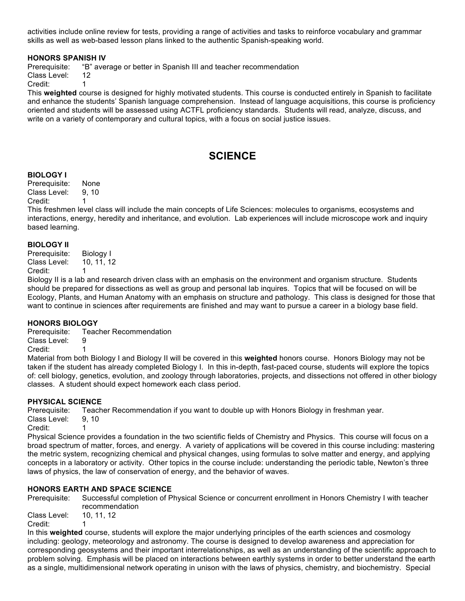activities include online review for tests, providing a range of activities and tasks to reinforce vocabulary and grammar skills as well as web-based lesson plans linked to the authentic Spanish-speaking world.

### **HONORS SPANISH IV**

Prerequisite: "B" average or better in Spanish III and teacher recommendation

Class Level: 12

Credit: 1

This **weighted** course is designed for highly motivated students. This course is conducted entirely in Spanish to facilitate and enhance the students' Spanish language comprehension. Instead of language acquisitions, this course is proficiency oriented and students will be assessed using ACTFL proficiency standards. Students will read, analyze, discuss, and write on a variety of contemporary and cultural topics, with a focus on social justice issues.

# **SCIENCE**

### **BIOLOGY I**

Prerequisite: None Class Level: 9, 10

Credit: 1

This freshmen level class will include the main concepts of Life Sciences: molecules to organisms, ecosystems and interactions, energy, heredity and inheritance, and evolution. Lab experiences will include microscope work and inquiry based learning.

### **BIOLOGY II**

Prerequisite: Biology I Class Level: 10, 11, 12 Credit:

Biology II is a lab and research driven class with an emphasis on the environment and organism structure. Students should be prepared for dissections as well as group and personal lab inquires. Topics that will be focused on will be Ecology, Plants, and Human Anatomy with an emphasis on structure and pathology. This class is designed for those that want to continue in sciences after requirements are finished and may want to pursue a career in a biology base field.

# **HONORS BIOLOGY**

Prerequisite: Teacher Recommendation

Class Level: 9

Credit: 1

Material from both Biology I and Biology II will be covered in this **weighted** honors course. Honors Biology may not be taken if the student has already completed Biology I. In this in-depth, fast-paced course, students will explore the topics of: cell biology, genetics, evolution, and zoology through laboratories, projects, and dissections not offered in other biology classes. A student should expect homework each class period.

# **PHYSICAL SCIENCE**

Prerequisite: Teacher Recommendation if you want to double up with Honors Biology in freshman year.

Class Level: 9, 10

Credit: 1

Physical Science provides a foundation in the two scientific fields of Chemistry and Physics. This course will focus on a broad spectrum of matter, forces, and energy. A variety of applications will be covered in this course including: mastering the metric system, recognizing chemical and physical changes, using formulas to solve matter and energy, and applying concepts in a laboratory or activity. Other topics in the course include: understanding the periodic table, Newton's three laws of physics, the law of conservation of energy, and the behavior of waves.

# **HONORS EARTH AND SPACE SCIENCE**

Prerequisite: Successful completion of Physical Science or concurrent enrollment in Honors Chemistry I with teacher recommendation

Class Level: 10, 11, 12 Credit: 1

In this **weighted** course, students will explore the major underlying principles of the earth sciences and cosmology including: geology, meteorology and astronomy. The course is designed to develop awareness and appreciation for corresponding geosystems and their important interrelationships, as well as an understanding of the scientific approach to problem solving. Emphasis will be placed on interactions between earthly systems in order to better understand the earth as a single, multidimensional network operating in unison with the laws of physics, chemistry, and biochemistry. Special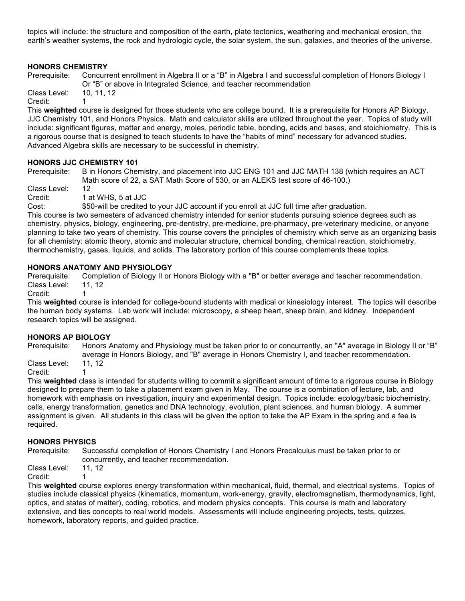topics will include: the structure and composition of the earth, plate tectonics, weathering and mechanical erosion, the earth's weather systems, the rock and hydrologic cycle, the solar system, the sun, galaxies, and theories of the universe.

# **HONORS CHEMISTRY**

Prerequisite: Concurrent enrollment in Algebra II or a "B" in Algebra I and successful completion of Honors Biology I Or "B" or above in Integrated Science, and teacher recommendation

Class Level: 10, 11, 12 Credit: 1

This **weighted** course is designed for those students who are college bound. It is a prerequisite for Honors AP Biology, JJC Chemistry 101, and Honors Physics. Math and calculator skills are utilized throughout the year. Topics of study will include: significant figures, matter and energy, moles, periodic table, bonding, acids and bases, and stoichiometry. This is a rigorous course that is designed to teach students to have the "habits of mind" necessary for advanced studies. Advanced Algebra skills are necessary to be successful in chemistry.

### **HONORS JJC CHEMISTRY 101**

Prerequisite: B in Honors Chemistry, and placement into JJC ENG 101 and JJC MATH 138 (which requires an ACT Math score of 22, a SAT Math Score of 530, or an ALEKS test score of 46-100.)

Class Level: 12 Credit: 1 at WHS, 5 at JJC

Cost: \$50-will be credited to your JJC account if you enroll at JJC full time after graduation.

This course is two semesters of advanced chemistry intended for senior students pursuing science degrees such as chemistry, physics, biology, engineering, pre-dentistry, pre-medicine, pre-pharmacy, pre-veterinary medicine, or anyone planning to take two years of chemistry. This course covers the principles of chemistry which serve as an organizing basis for all chemistry: atomic theory, atomic and molecular structure, chemical bonding, chemical reaction, stoichiometry, thermochemistry, gases, liquids, and solids. The laboratory portion of this course complements these topics.

# **HONORS ANATOMY AND PHYSIOLOGY**

Prerequisite: Completion of Biology II or Honors Biology with a "B" or better average and teacher recommendation. Class Level: 11, 12

Credit: 1

This **weighted** course is intended for college-bound students with medical or kinesiology interest. The topics will describe the human body systems. Lab work will include: microscopy, a sheep heart, sheep brain, and kidney. Independent research topics will be assigned.

# **HONORS AP BIOLOGY**

Prerequisite: Honors Anatomy and Physiology must be taken prior to or concurrently, an "A" average in Biology II or "B" average in Honors Biology, and "B" average in Honors Chemistry I, and teacher recommendation.

Class Level: 11, 12 Credit: 1

This **weighted** class is intended for students willing to commit a significant amount of time to a rigorous course in Biology designed to prepare them to take a placement exam given in May. The course is a combination of lecture, lab, and homework with emphasis on investigation, inquiry and experimental design. Topics include: ecology/basic biochemistry, cells, energy transformation, genetics and DNA technology, evolution, plant sciences, and human biology. A summer assignment is given. All students in this class will be given the option to take the AP Exam in the spring and a fee is required.

# **HONORS PHYSICS**

Prerequisite: Successful completion of Honors Chemistry I and Honors Precalculus must be taken prior to or concurrently, and teacher recommendation.

Class Level: 11, 12 Credit: 1

This **weighted** course explores energy transformation within mechanical, fluid, thermal, and electrical systems. Topics of studies include classical physics (kinematics, momentum, work-energy, gravity, electromagnetism, thermodynamics, light, optics, and states of matter), coding, robotics, and modern physics concepts. This course is math and laboratory extensive, and ties concepts to real world models. Assessments will include engineering projects, tests, quizzes, homework, laboratory reports, and guided practice.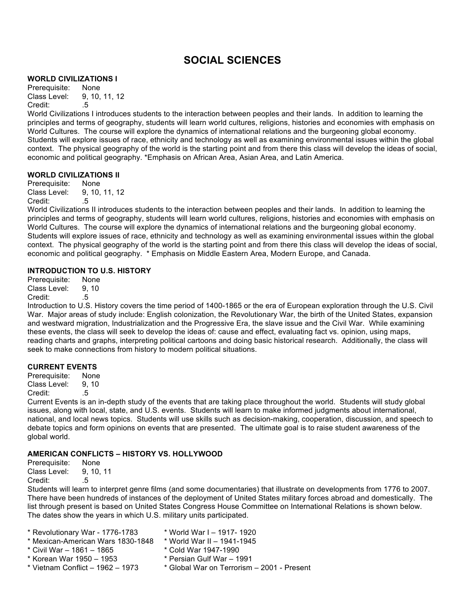# **SOCIAL SCIENCES**

### **WORLD CIVILIZATIONS I**

Prerequisite: None Class Level: 9, 10, 11, 12 Credit: .5

World Civilizations I introduces students to the interaction between peoples and their lands. In addition to learning the principles and terms of geography, students will learn world cultures, religions, histories and economies with emphasis on World Cultures. The course will explore the dynamics of international relations and the burgeoning global economy. Students will explore issues of race, ethnicity and technology as well as examining environmental issues within the global context. The physical geography of the world is the starting point and from there this class will develop the ideas of social, economic and political geography. \*Emphasis on African Area, Asian Area, and Latin America.

### **WORLD CIVILIZATIONS II**

Prerequisite: None Class Level: 9, 10, 11, 12 Credit: .5

World Civilizations II introduces students to the interaction between peoples and their lands. In addition to learning the principles and terms of geography, students will learn world cultures, religions, histories and economies with emphasis on World Cultures. The course will explore the dynamics of international relations and the burgeoning global economy. Students will explore issues of race, ethnicity and technology as well as examining environmental issues within the global context. The physical geography of the world is the starting point and from there this class will develop the ideas of social, economic and political geography. \* Emphasis on Middle Eastern Area, Modern Europe, and Canada.

### **INTRODUCTION TO U.S. HISTORY**

Prerequisite: None Class Level: 9, 10 Credit: .5

Introduction to U.S. History covers the time period of 1400-1865 or the era of European exploration through the U.S. Civil War. Major areas of study include: English colonization, the Revolutionary War, the birth of the United States, expansion and westward migration, Industrialization and the Progressive Era, the slave issue and the Civil War. While examining these events, the class will seek to develop the ideas of: cause and effect, evaluating fact vs. opinion, using maps, reading charts and graphs, interpreting political cartoons and doing basic historical research. Additionally, the class will seek to make connections from history to modern political situations.

### **CURRENT EVENTS**

Prerequisite: None Class Level: 9, 10 Credit: .5

Current Events is an in-depth study of the events that are taking place throughout the world. Students will study global issues, along with local, state, and U.S. events. Students will learn to make informed judgments about international, national, and local news topics. Students will use skills such as decision-making, cooperation, discussion, and speech to debate topics and form opinions on events that are presented. The ultimate goal is to raise student awareness of the global world.

# **AMERICAN CONFLICTS – HISTORY VS. HOLLYWOOD**

Prerequisite: None Class Level: 9, 10, 11 Credit: .5

Students will learn to interpret genre films (and some documentaries) that illustrate on developments from 1776 to 2007. There have been hundreds of instances of the deployment of United States military forces abroad and domestically. The list through present is based on United States Congress House Committee on International Relations is shown below. The dates show the years in which U.S. military units participated.

- \* Revolutionary War 1776-1783 \* World War I 1917- 1920
- \* Mexican-American Wars 1830-1848 \* World War II 1941-1945
- \* Civil War 1861 1865 \* Cold War 1947-1990
- 
- -
- \* Korean War 1950 1953 \* Persian Gulf War 1991
- 
- 
- \* Vietnam Conflict 1962 1973 \* Global War on Terrorism 2001 Present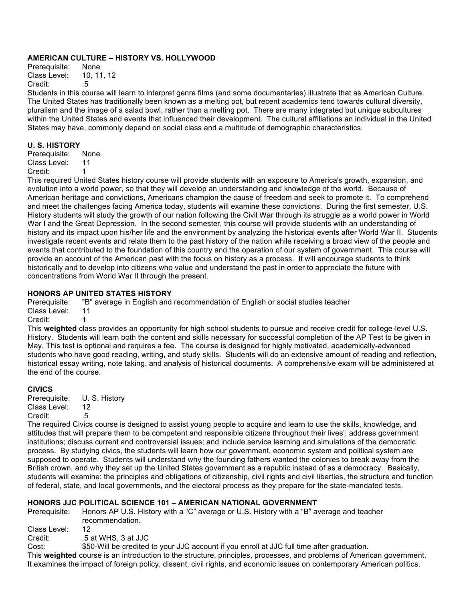### **AMERICAN CULTURE – HISTORY VS. HOLLYWOOD**

Prerequisite: None Class Level: 10, 11, 12 Credit: .5

Students in this course will learn to interpret genre films (and some documentaries) illustrate that as American Culture. The United States has traditionally been known as a melting pot, but recent academics tend towards cultural diversity, pluralism and the image of a salad bowl, rather than a melting pot. There are many integrated but unique subcultures within the United States and events that influenced their development. The cultural affiliations an individual in the United States may have, commonly depend on social class and a multitude of demographic characteristics.

### **U. S. HISTORY**

Prerequisite: None Class Level: 11 Credit: 1

This required United States history course will provide students with an exposure to America's growth, expansion, and evolution into a world power, so that they will develop an understanding and knowledge of the world. Because of American heritage and convictions, Americans champion the cause of freedom and seek to promote it. To comprehend and meet the challenges facing America today, students will examine these convictions. During the first semester, U.S. History students will study the growth of our nation following the Civil War through its struggle as a world power in World War I and the Great Depression. In the second semester, this course will provide students with an understanding of history and its impact upon his/her life and the environment by analyzing the historical events after World War II. Students investigate recent events and relate them to the past history of the nation while receiving a broad view of the people and events that contributed to the foundation of this country and the operation of our system of government. This course will provide an account of the American past with the focus on history as a process. It will encourage students to think historically and to develop into citizens who value and understand the past in order to appreciate the future with concentrations from World War II through the present.

# **HONORS AP UNITED STATES HISTORY**

Prerequisite: "B" average in English and recommendation of English or social studies teacher Class Level: 11 Credit:

This **weighted** class provides an opportunity for high school students to pursue and receive credit for college-level U.S. History. Students will learn both the content and skills necessary for successful completion of the AP Test to be given in May. This test is optional and requires a fee. The course is designed for highly motivated, academically-advanced students who have good reading, writing, and study skills. Students will do an extensive amount of reading and reflection, historical essay writing, note taking, and analysis of historical documents. A comprehensive exam will be administered at the end of the course.

### **CIVICS**

Prerequisite: U. S. History Class Level: 12 Credit: .5

The required Civics course is designed to assist young people to acquire and learn to use the skills, knowledge, and attitudes that will prepare them to be competent and responsible citizens throughout their lives'; address government institutions; discuss current and controversial issues; and include service learning and simulations of the democratic process. By studying civics, the students will learn how our government, economic system and political system are supposed to operate. Students will understand why the founding fathers wanted the colonies to break away from the British crown, and why they set up the United States government as a republic instead of as a democracy. Basically, students will examine: the principles and obligations of citizenship, civil rights and civil liberties, the structure and function of federal, state, and local governments, and the electoral process as they prepare for the state-mandated tests.

# **HONORS JJC POLITICAL SCIENCE 101 – AMERICAN NATIONAL GOVERNMENT**

Prerequisite: Honors AP U.S. History with a "C" average or U.S. History with a "B" average and teacher recommendation.

Class Level: 12

Credit: .5 at WHS, 3 at JJC

Cost: \$50-Will be credited to your JJC account if you enroll at JJC full time after graduation.

This **weighted** course is an introduction to the structure, principles, processes, and problems of American government. It examines the impact of foreign policy, dissent, civil rights, and economic issues on contemporary American politics.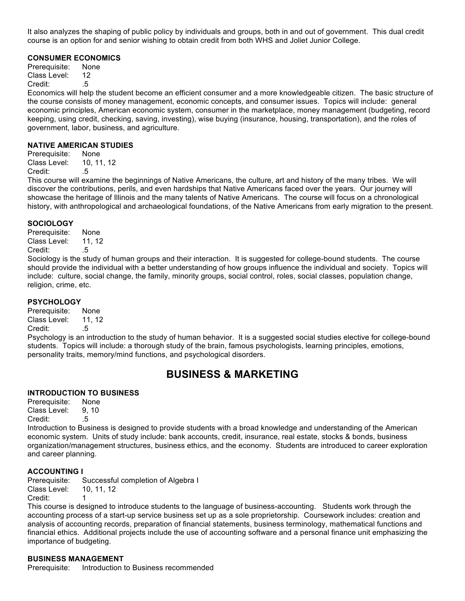It also analyzes the shaping of public policy by individuals and groups, both in and out of government. This dual credit course is an option for and senior wishing to obtain credit from both WHS and Joliet Junior College.

### **CONSUMER ECONOMICS**

Prerequisite: None Class Level: 12 Credit: .5

Economics will help the student become an efficient consumer and a more knowledgeable citizen. The basic structure of the course consists of money management, economic concepts, and consumer issues. Topics will include: general economic principles, American economic system, consumer in the marketplace, money management (budgeting, record keeping, using credit, checking, saving, investing), wise buying (insurance, housing, transportation), and the roles of government, labor, business, and agriculture.

### **NATIVE AMERICAN STUDIES**

Prerequisite: None Class Level: 10, 11, 12 Credit: .5

This course will examine the beginnings of Native Americans, the culture, art and history of the many tribes. We will discover the contributions, perils, and even hardships that Native Americans faced over the years. Our journey will showcase the heritage of Illinois and the many talents of Native Americans. The course will focus on a chronological history, with anthropological and archaeological foundations, of the Native Americans from early migration to the present.

### **SOCIOLOGY**

Prerequisite: None Class Level: 11, 12 Credit: .5

Sociology is the study of human groups and their interaction. It is suggested for college-bound students. The course should provide the individual with a better understanding of how groups influence the individual and society. Topics will include: culture, social change, the family, minority groups, social control, roles, social classes, population change, religion, crime, etc.

### **PSYCHOLOGY**

Prerequisite: None Class Level: 11, 12 Credit: .5

Psychology is an introduction to the study of human behavior. It is a suggested social studies elective for college-bound students. Topics will include: a thorough study of the brain, famous psychologists, learning principles, emotions, personality traits, memory/mind functions, and psychological disorders.

# **BUSINESS & MARKETING**

### **INTRODUCTION TO BUSINESS**

Prerequisite: None Class Level: 9, 10 Credit: .5

Introduction to Business is designed to provide students with a broad knowledge and understanding of the American economic system. Units of study include: bank accounts, credit, insurance, real estate, stocks & bonds, business organization/management structures, business ethics, and the economy. Students are introduced to career exploration and career planning.

### **ACCOUNTING I**

Prerequisite: Successful completion of Algebra I Class Level: 10, 11, 12 Credit: 1

This course is designed to introduce students to the language of business-accounting. Students work through the accounting process of a start-up service business set up as a sole proprietorship. Coursework includes: creation and analysis of accounting records, preparation of financial statements, business terminology, mathematical functions and financial ethics. Additional projects include the use of accounting software and a personal finance unit emphasizing the importance of budgeting.

# **BUSINESS MANAGEMENT**

Prerequisite: Introduction to Business recommended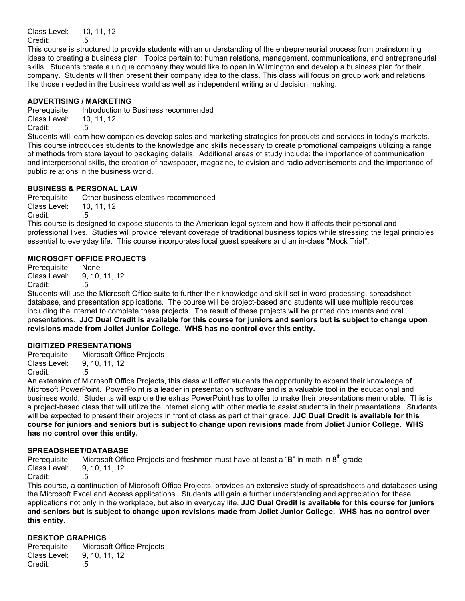Class Level: 10, 11, 12 Credit: .5

This course is structured to provide students with an understanding of the entrepreneurial process from brainstorming ideas to creating a business plan. Topics pertain to: human relations, management, communications, and entrepreneurial skills. Students create a unique company they would like to open in Wilmington and develop a business plan for their company. Students will then present their company idea to the class. This class will focus on group work and relations like those needed in the business world as well as independent writing and decision making.

# **ADVERTISING / MARKETING**

Prerequisite: Introduction to Business recommended Class Level: 10, 11, 12 Credit: .5

Students will learn how companies develop sales and marketing strategies for products and services in today's markets. This course introduces students to the knowledge and skills necessary to create promotional campaigns utilizing a range of methods from store layout to packaging details. Additional areas of study include: the importance of communication and interpersonal skills, the creation of newspaper, magazine, television and radio advertisements and the importance of public relations in the business world.

### **BUSINESS & PERSONAL LAW**

Prerequisite: Other business electives recommended Class Level: 10, 11, 12 Credit: .5

This course is designed to expose students to the American legal system and how it affects their personal and professional lives. Studies will provide relevant coverage of traditional business topics while stressing the legal principles essential to everyday life. This course incorporates local guest speakers and an in-class "Mock Trial".

### **MICROSOFT OFFICE PROJECTS**

Prerequisite: None Class Level: 9, 10, 11, 12 Credit: .5

Students will use the Microsoft Office suite to further their knowledge and skill set in word processing, spreadsheet, database, and presentation applications. The course will be project-based and students will use multiple resources including the internet to complete these projects. The result of these projects will be printed documents and oral presentations. **JJC Dual Credit is available for this course for juniors and seniors but is subject to change upon revisions made from Joliet Junior College. WHS has no control over this entity.**

### **DIGITIZED PRESENTATIONS**

Prerequisite: Microsoft Office Projects Class Level: 9, 10, 11, 12 Credit: .5

An extension of Microsoft Office Projects, this class will offer students the opportunity to expand their knowledge of Microsoft PowerPoint. PowerPoint is a leader in presentation software and is a valuable tool in the educational and business world. Students will explore the extras PowerPoint has to offer to make their presentations memorable. This is a project-based class that will utilize the Internet along with other media to assist students in their presentations. Students will be expected to present their projects in front of class as part of their grade. **JJC Dual Credit is available for this course for juniors and seniors but is subject to change upon revisions made from Joliet Junior College. WHS has no control over this entity.**

### **SPREADSHEET/DATABASE**

Prerequisite: Microsoft Office Projects and freshmen must have at least a "B" in math in  $8<sup>th</sup>$  grade Class Level: 9, 10, 11, 12 Credit: .5

This course, a continuation of Microsoft Office Projects, provides an extensive study of spreadsheets and databases using the Microsoft Excel and Access applications. Students will gain a further understanding and appreciation for these applications not only in the workplace, but also in everyday life. **JJC Dual Credit is available for this course for juniors and seniors but is subject to change upon revisions made from Joliet Junior College. WHS has no control over this entity.**

# **DESKTOP GRAPHICS**

Prerequisite: Microsoft Office Projects Class Level: 9, 10, 11, 12 Credit: .5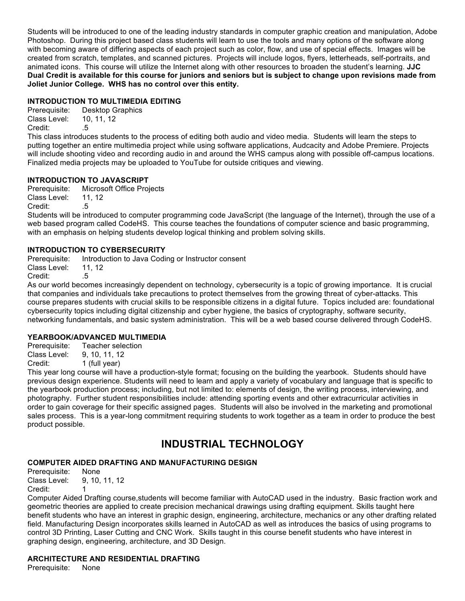Students will be introduced to one of the leading industry standards in computer graphic creation and manipulation, Adobe Photoshop. During this project based class students will learn to use the tools and many options of the software along with becoming aware of differing aspects of each project such as color, flow, and use of special effects. Images will be created from scratch, templates, and scanned pictures. Projects will include logos, flyers, letterheads, self-portraits, and animated icons. This course will utilize the Internet along with other resources to broaden the student's learning. **JJC Dual Credit is available for this course for juniors and seniors but is subject to change upon revisions made from Joliet Junior College. WHS has no control over this entity.**

# **INTRODUCTION TO MULTIMEDIA EDITING**

Prerequisite: Desktop Graphics Class Level: 10, 11, 12 Credit: .5

This class introduces students to the process of editing both audio and video media. Students will learn the steps to putting together an entire multimedia project while using software applications, Audcacity and Adobe Premiere. Projects will include shooting video and recording audio in and around the WHS campus along with possible off-campus locations. Finalized media projects may be uploaded to YouTube for outside critiques and viewing.

# **INTRODUCTION TO JAVASCRIPT**

Prerequisite: Microsoft Office Projects Class Level: 11, 12 Credit: .5

Students will be introduced to computer programming code JavaScript (the language of the Internet), through the use of a web based program called CodeHS. This course teaches the foundations of computer science and basic programming, with an emphasis on helping students develop logical thinking and problem solving skills.

# **INTRODUCTION TO CYBERSECURITY**

Prerequisite: Introduction to Java Coding or Instructor consent

Class Level: 11, 12

Credit: .5

As our world becomes increasingly dependent on technology, cybersecurity is a topic of growing importance. It is crucial that companies and individuals take precautions to protect themselves from the growing threat of cyber-attacks. This course prepares students with crucial skills to be responsible citizens in a digital future. Topics included are: foundational cybersecurity topics including digital citizenship and cyber hygiene, the basics of cryptography, software security, networking fundamentals, and basic system administration. This will be a web based course delivered through CodeHS.

# **YEARBOOK/ADVANCED MULTIMEDIA**

Prerequisite: Teacher selection Class Level: 9, 10, 11, 12

Credit: 1 (full year)

This year long course will have a production-style format; focusing on the building the yearbook. Students should have previous design experience. Students will need to learn and apply a variety of vocabulary and language that is specific to the yearbook production process; including, but not limited to: elements of design, the writing process, interviewing, and photography. Further student responsibilities include: attending sporting events and other extracurricular activities in order to gain coverage for their specific assigned pages. Students will also be involved in the marketing and promotional sales process. This is a year-long commitment requiring students to work together as a team in order to produce the best product possible.

# **INDUSTRIAL TECHNOLOGY**

# **COMPUTER AIDED DRAFTING AND MANUFACTURING DESIGN**

Prerequisite: None Class Level: 9, 10, 11, 12 Credit:

Computer Aided Drafting course,students will become familiar with AutoCAD used in the industry. Basic fraction work and geometric theories are applied to create precision mechanical drawings using drafting equipment. Skills taught here benefit students who have an interest in graphic design, engineering, architecture, mechanics or any other drafting related field. Manufacturing Design incorporates skills learned in AutoCAD as well as introduces the basics of using programs to control 3D Printing, Laser Cutting and CNC Work. Skills taught in this course benefit students who have interest in graphing design, engineering, architecture, and 3D Design.

# **ARCHITECTURE AND RESIDENTIAL DRAFTING**

Prerequisite: None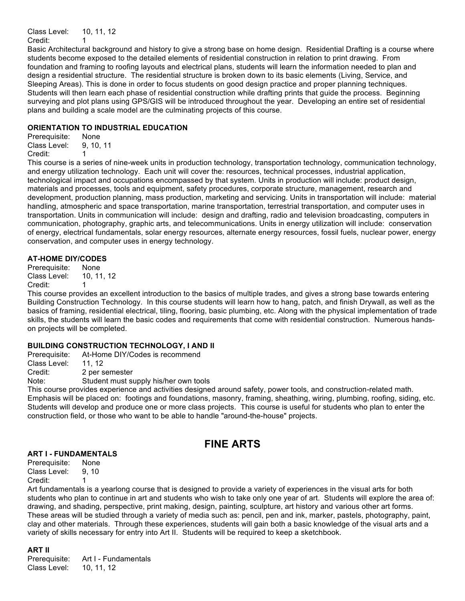Class Level: 10, 11, 12

Credit: 1

Basic Architectural background and history to give a strong base on home design. Residential Drafting is a course where students become exposed to the detailed elements of residential construction in relation to print drawing. From foundation and framing to roofing layouts and electrical plans, students will learn the information needed to plan and design a residential structure. The residential structure is broken down to its basic elements (Living, Service, and Sleeping Areas). This is done in order to focus students on good design practice and proper planning techniques. Students will then learn each phase of residential construction while drafting prints that guide the process. Beginning surveying and plot plans using GPS/GIS will be introduced throughout the year. Developing an entire set of residential plans and building a scale model are the culminating projects of this course.

# **ORIENTATION TO INDUSTRIAL EDUCATION**

Prerequisite: None Class Level: 9, 10, 11 Credit: 1

This course is a series of nine-week units in production technology, transportation technology, communication technology, and energy utilization technology. Each unit will cover the: resources, technical processes, industrial application, technological impact and occupations encompassed by that system. Units in production will include: product design, materials and processes, tools and equipment, safety procedures, corporate structure, management, research and development, production planning, mass production, marketing and servicing. Units in transportation will include: material handling, atmospheric and space transportation, marine transportation, terrestrial transportation, and computer uses in transportation. Units in communication will include: design and drafting, radio and television broadcasting, computers in communication, photography, graphic arts, and telecommunications. Units in energy utilization will include: conservation of energy, electrical fundamentals, solar energy resources, alternate energy resources, fossil fuels, nuclear power, energy conservation, and computer uses in energy technology.

# **AT-HOME DIY/CODES**

Prerequisite: None Class Level: 10, 11, 12 Credit: 1

This course provides an excellent introduction to the basics of multiple trades, and gives a strong base towards entering Building Construction Technology. In this course students will learn how to hang, patch, and finish Drywall, as well as the basics of framing, residential electrical, tiling, flooring, basic plumbing, etc. Along with the physical implementation of trade skills, the students will learn the basic codes and requirements that come with residential construction. Numerous handson projects will be completed.

# **BUILDING CONSTRUCTION TECHNOLOGY, I AND II**

Prerequisite: At-Home DIY/Codes is recommend

Class Level: 11, 12

Credit: 2 per semester

Note: Student must supply his/her own tools

This course provides experience and activities designed around safety, power tools, and construction-related math. Emphasis will be placed on: footings and foundations, masonry, framing, sheathing, wiring, plumbing, roofing, siding, etc. Students will develop and produce one or more class projects. This course is useful for students who plan to enter the construction field, or those who want to be able to handle "around-the-house" projects.

# **FINE ARTS**

# **ART I - FUNDAMENTALS**

Prerequisite: None Class Level: 9, 10 Credit:

Art fundamentals is a yearlong course that is designed to provide a variety of experiences in the visual arts for both students who plan to continue in art and students who wish to take only one year of art. Students will explore the area of: drawing, and shading, perspective, print making, design, painting, sculpture, art history and various other art forms. These areas will be studied through a variety of media such as: pencil, pen and ink, marker, pastels, photography, paint, clay and other materials. Through these experiences, students will gain both a basic knowledge of the visual arts and a variety of skills necessary for entry into Art II. Students will be required to keep a sketchbook.

**ART II** 

Prerequisite: Art I - Fundamentals Class Level: 10, 11, 12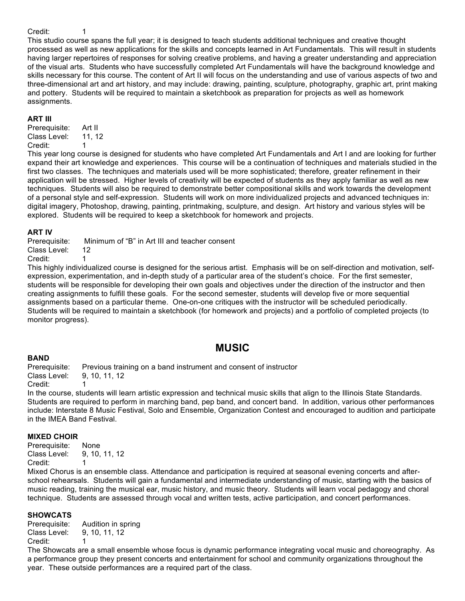### Credit: 1

This studio course spans the full year; it is designed to teach students additional techniques and creative thought processed as well as new applications for the skills and concepts learned in Art Fundamentals. This will result in students having larger repertoires of responses for solving creative problems, and having a greater understanding and appreciation of the visual arts. Students who have successfully completed Art Fundamentals will have the background knowledge and skills necessary for this course. The content of Art II will focus on the understanding and use of various aspects of two and three-dimensional art and art history, and may include: drawing, painting, sculpture, photography, graphic art, print making and pottery. Students will be required to maintain a sketchbook as preparation for projects as well as homework assignments.

#### **ART III**

Prerequisite: Art II Class Level: 11, 12 Credit: 1

This year long course is designed for students who have completed Art Fundamentals and Art I and are looking for further expand their art knowledge and experiences. This course will be a continuation of techniques and materials studied in the first two classes. The techniques and materials used will be more sophisticated; therefore, greater refinement in their application will be stressed. Higher levels of creativity will be expected of students as they apply familiar as well as new techniques. Students will also be required to demonstrate better compositional skills and work towards the development of a personal style and self-expression. Students will work on more individualized projects and advanced techniques in: digital imagery, Photoshop, drawing, painting, printmaking, sculpture, and design. Art history and various styles will be explored. Students will be required to keep a sketchbook for homework and projects.

#### **ART IV**

Prerequisite: Minimum of "B" in Art III and teacher consent

Class Level: 12 Credit: 1

This highly individualized course is designed for the serious artist. Emphasis will be on self-direction and motivation, selfexpression, experimentation, and in-depth study of a particular area of the student's choice. For the first semester, students will be responsible for developing their own goals and objectives under the direction of the instructor and then creating assignments to fulfill these goals. For the second semester, students will develop five or more sequential assignments based on a particular theme. One-on-one critiques with the instructor will be scheduled periodically. Students will be required to maintain a sketchbook (for homework and projects) and a portfolio of completed projects (to monitor progress).

# **MUSIC**

### **BAND**

Prerequisite: Previous training on a band instrument and consent of instructor Class Level: 9, 10, 11, 12

Credit:

In the course, students will learn artistic expression and technical music skills that align to the Illinois State Standards. Students are required to perform in marching band, pep band, and concert band. In addition, various other performances include: Interstate 8 Music Festival, Solo and Ensemble, Organization Contest and encouraged to audition and participate in the IMEA Band Festival.

### **MIXED CHOIR**

Prerequisite: None Class Level: 9, 10, 11, 12 Credit:

Mixed Chorus is an ensemble class. Attendance and participation is required at seasonal evening concerts and afterschool rehearsals. Students will gain a fundamental and intermediate understanding of music, starting with the basics of music reading, training the musical ear, music history, and music theory. Students will learn vocal pedagogy and choral technique. Students are assessed through vocal and written tests, active participation, and concert performances.

### **SHOWCATS**

Prerequisite: Audition in spring Class Level: 9, 10, 11, 12 Credit: 1

The Showcats are a small ensemble whose focus is dynamic performance integrating vocal music and choreography. As a performance group they present concerts and entertainment for school and community organizations throughout the year. These outside performances are a required part of the class.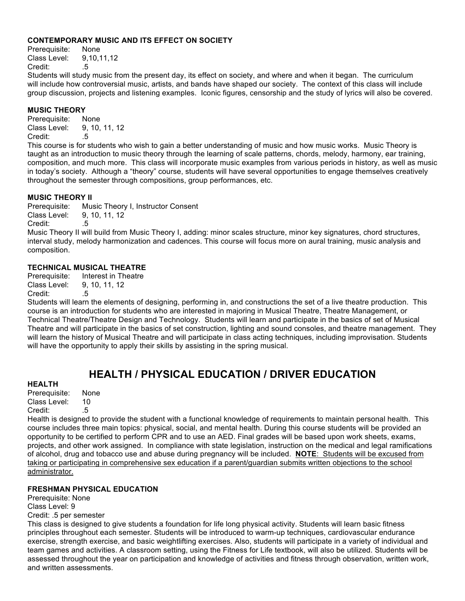### **CONTEMPORARY MUSIC AND ITS EFFECT ON SOCIETY**

Prerequisite: None Class Level: 9,10,11,12 Credit: .5

Students will study music from the present day, its effect on society, and where and when it began. The curriculum will include how controversial music, artists, and bands have shaped our society. The context of this class will include group discussion, projects and listening examples. Iconic figures, censorship and the study of lyrics will also be covered.

### **MUSIC THEORY**

Prerequisite: None Class Level: 9, 10, 11, 12 Credit: 5

This course is for students who wish to gain a better understanding of music and how music works. Music Theory is taught as an introduction to music theory through the learning of scale patterns, chords, melody, harmony, ear training, composition, and much more. This class will incorporate music examples from various periods in history, as well as music in today's society. Although a "theory" course, students will have several opportunities to engage themselves creatively throughout the semester through compositions, group performances, etc.

### **MUSIC THEORY II**

Prerequisite: Music Theory I, Instructor Consent Class Level: 9, 10, 11, 12

Credit: .5

Music Theory II will build from Music Theory I, adding: minor scales structure, minor key signatures, chord structures, interval study, melody harmonization and cadences. This course will focus more on aural training, music analysis and composition.

### **TECHNICAL MUSICAL THEATRE**

Prerequisite: Interest in Theatre Class Level: 9, 10, 11, 12 Credit: .5

Students will learn the elements of designing, performing in, and constructions the set of a live theatre production. This course is an introduction for students who are interested in majoring in Musical Theatre, Theatre Management, or Technical Theatre/Theatre Design and Technology. Students will learn and participate in the basics of set of Musical Theatre and will participate in the basics of set construction, lighting and sound consoles, and theatre management. They will learn the history of Musical Theatre and will participate in class acting techniques, including improvisation. Students will have the opportunity to apply their skills by assisting in the spring musical.

# **HEALTH / PHYSICAL EDUCATION / DRIVER EDUCATION**

### **HEALTH**

Prerequisite: None Class Level: 10 Credit: .5

Health is designed to provide the student with a functional knowledge of requirements to maintain personal health. This course includes three main topics: physical, social, and mental health. During this course students will be provided an opportunity to be certified to perform CPR and to use an AED. Final grades will be based upon work sheets, exams, projects, and other work assigned. In compliance with state legislation, instruction on the medical and legal ramifications of alcohol, drug and tobacco use and abuse during pregnancy will be included. **NOTE**: Students will be excused from taking or participating in comprehensive sex education if a parent/guardian submits written objections to the school administrator.

### **FRESHMAN PHYSICAL EDUCATION**

Prerequisite: None Class Level: 9

Credit: .5 per semester

This class is designed to give students a foundation for life long physical activity. Students will learn basic fitness principles throughout each semester. Students will be introduced to warm-up techniques, cardiovascular endurance exercise, strength exercise, and basic weightlifting exercises. Also, students will participate in a variety of individual and team games and activities. A classroom setting, using the Fitness for Life textbook, will also be utilized. Students will be assessed throughout the year on participation and knowledge of activities and fitness through observation, written work, and written assessments.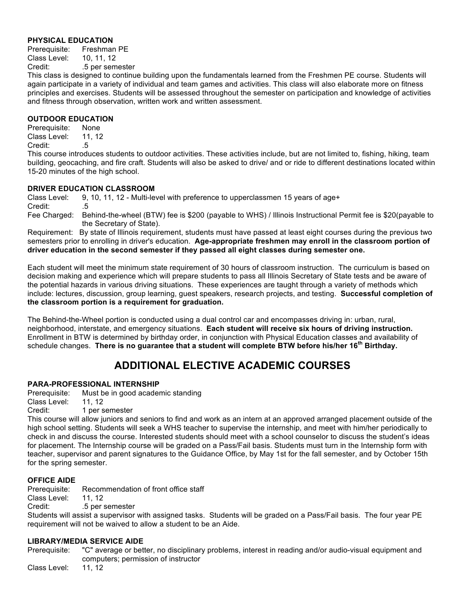# **PHYSICAL EDUCATION**

Prerequisite: Freshman PE Class Level: 10, 11, 12

Credit: .5 per semester

This class is designed to continue building upon the fundamentals learned from the Freshmen PE course. Students will again participate in a variety of individual and team games and activities. This class will also elaborate more on fitness principles and exercises. Students will be assessed throughout the semester on participation and knowledge of activities and fitness through observation, written work and written assessment.

### **OUTDOOR EDUCATION**

Prerequisite: None Class Level: 11, 12 Credit: .5

This course introduces students to outdoor activities. These activities include, but are not limited to, fishing, hiking, team building, geocaching, and fire craft. Students will also be asked to drive/ and or ride to different destinations located within 15-20 minutes of the high school.

### **DRIVER EDUCATION CLASSROOM**

Class Level: 9, 10, 11, 12 - Multi-level with preference to upperclassmen 15 years of age+ Credit: .5 Fee Charged: Behind-the-wheel (BTW) fee is \$200 (payable to WHS) / Illinois Instructional Permit fee is \$20(payable to

the Secretary of State).

Requirement: By state of Illinois requirement, students must have passed at least eight courses during the previous two semesters prior to enrolling in driver's education. **Age-appropriate freshmen may enroll in the classroom portion of driver education in the second semester if they passed all eight classes during semester one.**

Each student will meet the minimum state requirement of 30 hours of classroom instruction. The curriculum is based on decision making and experience which will prepare students to pass all Illinois Secretary of State tests and be aware of the potential hazards in various driving situations. These experiences are taught through a variety of methods which include: lectures, discussion, group learning, guest speakers, research projects, and testing. **Successful completion of the classroom portion is a requirement for graduation.**

The Behind-the-Wheel portion is conducted using a dual control car and encompasses driving in: urban, rural, neighborhood, interstate, and emergency situations. **Each student will receive six hours of driving instruction.** Enrollment in BTW is determined by birthday order, in conjunction with Physical Education classes and availability of schedule changes. **There is no guarantee that a student will complete BTW before his/her 16th Birthday.**

# **ADDITIONAL ELECTIVE ACADEMIC COURSES**

# **PARA-PROFESSIONAL INTERNSHIP**

Prerequisite: Must be in good academic standing

Class Level: 11, 12

Credit: 1 per semester

This course will allow juniors and seniors to find and work as an intern at an approved arranged placement outside of the high school setting. Students will seek a WHS teacher to supervise the internship, and meet with him/her periodically to check in and discuss the course. Interested students should meet with a school counselor to discuss the student's ideas for placement. The Internship course will be graded on a Pass/Fail basis. Students must turn in the Internship form with teacher, supervisor and parent signatures to the Guidance Office, by May 1st for the fall semester, and by October 15th for the spring semester.

# **OFFICE AIDE**

Prerequisite: Recommendation of front office staff

Class Level: 11, 12

Credit: .5 per semester

Students will assist a supervisor with assigned tasks. Students will be graded on a Pass/Fail basis. The four year PE requirement will not be waived to allow a student to be an Aide.

# **LIBRARY/MEDIA SERVICE AIDE**

Prerequisite: "C" average or better, no disciplinary problems, interest in reading and/or audio-visual equipment and computers; permission of instructor

Class Level: 11, 12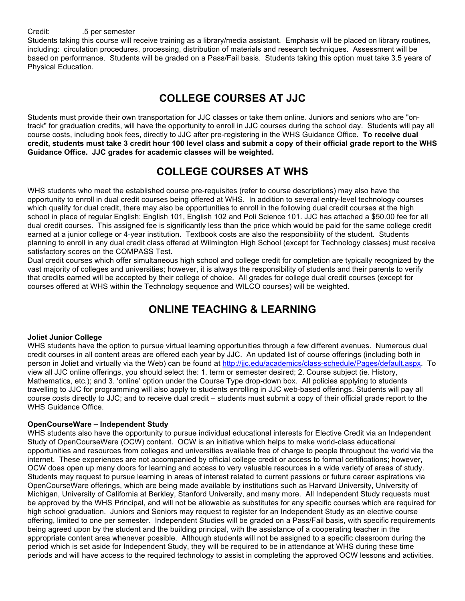Students taking this course will receive training as a library/media assistant. Emphasis will be placed on library routines, including: circulation procedures, processing, distribution of materials and research techniques. Assessment will be based on performance. Students will be graded on a Pass/Fail basis. Students taking this option must take 3.5 years of Physical Education.

# **COLLEGE COURSES AT JJC**

Students must provide their own transportation for JJC classes or take them online. Juniors and seniors who are "ontrack" for graduation credits, will have the opportunity to enroll in JJC courses during the school day. Students will pay all course costs, including book fees, directly to JJC after pre-registering in the WHS Guidance Office. **To receive dual credit, students must take 3 credit hour 100 level class and submit a copy of their official grade report to the WHS Guidance Office. JJC grades for academic classes will be weighted.** 

# **COLLEGE COURSES AT WHS**

WHS students who meet the established course pre-requisites (refer to course descriptions) may also have the opportunity to enroll in dual credit courses being offered at WHS. In addition to several entry-level technology courses which qualify for dual credit, there may also be opportunities to enroll in the following dual credit courses at the high school in place of regular English; English 101, English 102 and Poli Science 101. JJC has attached a \$50.00 fee for all dual credit courses. This assigned fee is significantly less than the price which would be paid for the same college credit earned at a junior college or 4-year institution. Textbook costs are also the responsibility of the student. Students planning to enroll in any dual credit class offered at Wilmington High School (except for Technology classes) must receive satisfactory scores on the COMPASS Test.

Dual credit courses which offer simultaneous high school and college credit for completion are typically recognized by the vast majority of colleges and universities; however, it is always the responsibility of students and their parents to verify that credits earned will be accepted by their college of choice. All grades for college dual credit courses (except for courses offered at WHS within the Technology sequence and WILCO courses) will be weighted.

# **ONLINE TEACHING & LEARNING**

# **Joliet Junior College**

WHS students have the option to pursue virtual learning opportunities through a few different avenues. Numerous dual credit courses in all content areas are offered each year by JJC. An updated list of course offerings (including both in person in Joliet and virtually via the Web) can be found at http://jjc.edu/academics/class-schedule/Pages/default.aspx. To view all JJC online offerings, you should select the: 1. term or semester desired; 2. Course subject (ie. History, Mathematics, etc.); and 3. 'online' option under the Course Type drop-down box. All policies applying to students travelling to JJC for programming will also apply to students enrolling in JJC web-based offerings. Students will pay all course costs directly to JJC; and to receive dual credit – students must submit a copy of their official grade report to the WHS Guidance Office.

# **OpenCourseWare – Independent Study**

WHS students also have the opportunity to pursue individual educational interests for Elective Credit via an Independent Study of OpenCourseWare (OCW) content. OCW is an initiative which helps to make world-class educational opportunities and resources from colleges and universities available free of charge to people throughout the world via the internet. These experiences are not accompanied by official college credit or access to formal certifications; however, OCW does open up many doors for learning and access to very valuable resources in a wide variety of areas of study. Students may request to pursue learning in areas of interest related to current passions or future career aspirations via OpenCourseWare offerings, which are being made available by institutions such as Harvard University, University of Michigan, University of California at Berkley, Stanford University, and many more. All Independent Study requests must be approved by the WHS Principal, and will not be allowable as substitutes for any specific courses which are required for high school graduation. Juniors and Seniors may request to register for an Independent Study as an elective course offering, limited to one per semester. Independent Studies will be graded on a Pass/Fail basis, with specific requirements being agreed upon by the student and the building principal, with the assistance of a cooperating teacher in the appropriate content area whenever possible. Although students will not be assigned to a specific classroom during the period which is set aside for Independent Study, they will be required to be in attendance at WHS during these time periods and will have access to the required technology to assist in completing the approved OCW lessons and activities.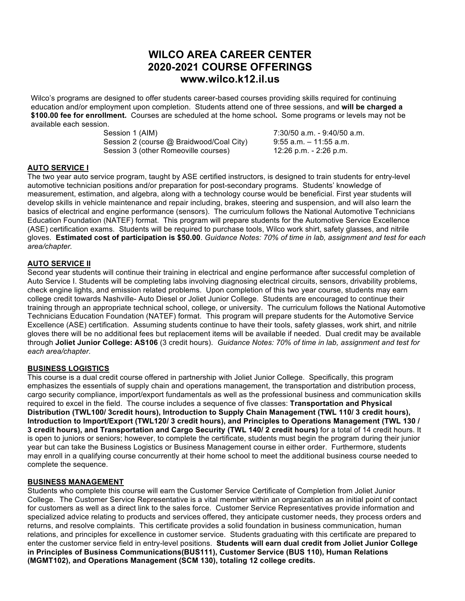# **WILCO AREA CAREER CENTER 2020-2021 COURSE OFFERINGS www.wilco.k12.il.us**

Wilco's programs are designed to offer students career-based courses providing skills required for continuing education and/or employment upon completion. Students attend one of three sessions, and **will be charged a \$100.00 fee for enrollment.** Courses are scheduled at the home school**.** Some programs or levels may not be available each session.

> Session 1 (AIM) 30.50 a.m. - 9:40/50 a.m. Session 2 (course @ Braidwood/Coal City) 9:55 a.m. - 11:55 a.m. Session 3 (other Romeoville courses) 12:26 p.m. - 2:26 p.m.

# **AUTO SERVICE I**

The two year auto service program, taught by ASE certified instructors, is designed to train students for entry-level automotive technician positions and/or preparation for post-secondary programs. Students' knowledge of measurement, estimation, and algebra, along with a technology course would be beneficial. First year students will develop skills in vehicle maintenance and repair including, brakes, steering and suspension, and will also learn the basics of electrical and engine performance (sensors). The curriculum follows the National Automotive Technicians Education Foundation (NATEF) format. This program will prepare students for the Automotive Service Excellence (ASE) certification exams. Students will be required to purchase tools, Wilco work shirt, safety glasses, and nitrile gloves. **Estimated cost of participation is \$50.00**. *Guidance Notes: 70% of time in lab, assignment and test for each area/chapter.*

# **AUTO SERVICE II**

Second year students will continue their training in electrical and engine performance after successful completion of Auto Service I. Students will be completing labs involving diagnosing electrical circuits, sensors, drivability problems, check engine lights, and emission related problems. Upon completion of this two year course, students may earn college credit towards Nashville- Auto Diesel or Joliet Junior College. Students are encouraged to continue their training through an appropriate technical school, college, or university. The curriculum follows the National Automotive Technicians Education Foundation (NATEF) format. This program will prepare students for the Automotive Service Excellence (ASE) certification. Assuming students continue to have their tools, safety glasses, work shirt, and nitrile gloves there will be no additional fees but replacement items will be available if needed. Dual credit may be available through **Joliet Junior College: AS106** (3 credit hours). *Guidance Notes: 70% of time in lab, assignment and test for each area/chapter.*

# **BUSINESS LOGISTICS**

This course is a dual credit course offered in partnership with Joliet Junior College. Specifically, this program emphasizes the essentials of supply chain and operations management, the transportation and distribution process, cargo security compliance, import/export fundamentals as well as the professional business and communication skills required to excel in the field. The course includes a sequence of five classes: **Transportation and Physical Distribution (TWL100/ 3credit hours), Introduction to Supply Chain Management (TWL 110/ 3 credit hours), Introduction to Import/Export (TWL120/ 3 credit hours), and Principles to Operations Management (TWL 130 / 3 credit hours), and Transportation and Cargo Security (TWL 140/ 2 credit hours)** for a total of 14 credit hours. It is open to juniors or seniors; however, to complete the certificate, students must begin the program during their junior year but can take the Business Logistics or Business Management course in either order. Furthermore, students may enroll in a qualifying course concurrently at their home school to meet the additional business course needed to complete the sequence.

# **BUSINESS MANAGEMENT**

Students who complete this course will earn the Customer Service Certificate of Completion from Joliet Junior College. The Customer Service Representative is a vital member within an organization as an initial point of contact for customers as well as a direct link to the sales force. Customer Service Representatives provide information and specialized advice relating to products and services offered, they anticipate customer needs, they process orders and returns, and resolve complaints. This certificate provides a solid foundation in business communication, human relations, and principles for excellence in customer service. Students graduating with this certificate are prepared to enter the customer service field in entry-level positions. **Students will earn dual credit from Joliet Junior College in Principles of Business Communications(BUS111), Customer Service (BUS 110), Human Relations (MGMT102), and Operations Management (SCM 130), totaling 12 college credits.**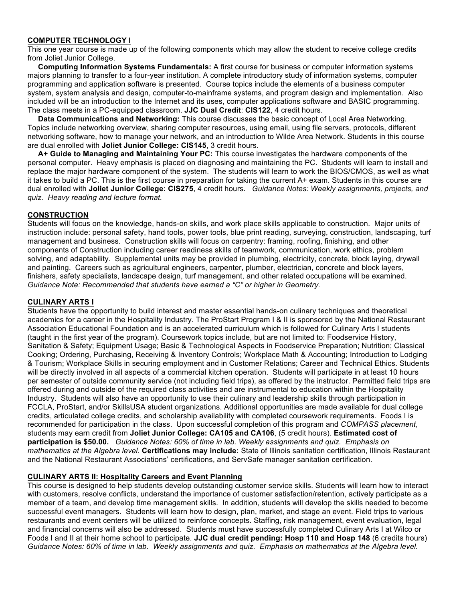### **COMPUTER TECHNOLOGY I**

This one year course is made up of the following components which may allow the student to receive college credits from Joliet Junior College.

 **Computing Information Systems Fundamentals:** A first course for business or computer information systems majors planning to transfer to a four-year institution. A complete introductory study of information systems, computer programming and application software is presented. Course topics include the elements of a business computer system, system analysis and design, computer-to-mainframe systems, and program design and implementation. Also included will be an introduction to the Internet and its uses, computer applications software and BASIC programming. The class meets in a PC-equipped classroom. **JJC Dual Credit**: **CIS122**, 4 credit hours.

 **Data Communications and Networking:** This course discusses the basic concept of Local Area Networking. Topics include networking overview, sharing computer resources, using email, using file servers, protocols, different networking software, how to manage your network, and an introduction to Wilde Area Network. Students in this course are dual enrolled with **Joliet Junior College: CIS145**, 3 credit hours.

 **A+ Guide to Managing and Maintaining Your PC:** This course investigates the hardware components of the personal computer. Heavy emphasis is placed on diagnosing and maintaining the PC. Students will learn to install and replace the major hardware component of the system. The students will learn to work the BIOS/CMOS, as well as what it takes to build a PC. This is the first course in preparation for taking the current A+ exam. Students in this course are dual enrolled with **Joliet Junior College: CIS275**, 4 credit hours. *Guidance Notes: Weekly assignments, projects, and quiz. Heavy reading and lecture format.*

### **CONSTRUCTION**

Students will focus on the knowledge, hands-on skills, and work place skills applicable to construction. Major units of instruction include: personal safety, hand tools, power tools, blue print reading, surveying, construction, landscaping, turf management and business. Construction skills will focus on carpentry: framing, roofing, finishing, and other components of Construction including career readiness skills of teamwork, communication, work ethics, problem solving, and adaptability. Supplemental units may be provided in plumbing, electricity, concrete, block laying, drywall and painting. Careers such as agricultural engineers, carpenter, plumber, electrician, concrete and block layers, finishers, safety specialists, landscape design, turf management, and other related occupations will be examined. *Guidance Note: Recommended that students have earned a "C" or higher in Geometry.*

### **CULINARY ARTS I**

Students have the opportunity to build interest and master essential hands-on culinary techniques and theoretical academics for a career in the Hospitality Industry. The ProStart Program I & II is sponsored by the National Restaurant Association Educational Foundation and is an accelerated curriculum which is followed for Culinary Arts I students (taught in the first year of the program). Coursework topics include, but are not limited to: Foodservice History, Sanitation & Safety; Equipment Usage; Basic & Technological Aspects in Foodservice Preparation; Nutrition; Classical Cooking; Ordering, Purchasing, Receiving & Inventory Controls; Workplace Math & Accounting; Introduction to Lodging & Tourism; Workplace Skills in securing employment and in Customer Relations; Career and Technical Ethics. Students will be directly involved in all aspects of a commercial kitchen operation. Students will participate in at least 10 hours per semester of outside community service (not including field trips), as offered by the instructor. Permitted field trips are offered during and outside of the required class activities and are instrumental to education within the Hospitality Industry. Students will also have an opportunity to use their culinary and leadership skills through participation in FCCLA, ProStart, and/or SkillsUSA student organizations. Additional opportunities are made available for dual college credits, articulated college credits, and scholarship availability with completed coursework requirements. Foods I is recommended for participation in the class. Upon successful completion of this program and *COMPASS placement*, students may earn credit from **Joliet Junior College: CA105 and CA106**, (5 credit hours). **Estimated cost of participation is \$50.00.** *Guidance Notes: 60% of time in lab. Weekly assignments and quiz. Emphasis on mathematics at the Algebra level.* **Certifications may include:** State of Illinois sanitation certification, Illinois Restaurant and the National Restaurant Associations' certifications, and ServSafe manager sanitation certification.

# **CULINARY ARTS II: Hospitality Careers and Event Planning**

This course is designed to help students develop outstanding customer service skills. Students will learn how to interact with customers, resolve conflicts, understand the importance of customer satisfaction/retention, actively participate as a member of a team, and develop time management skills. In addition, students will develop the skills needed to become successful event managers. Students will learn how to design, plan, market, and stage an event. Field trips to various restaurants and event centers will be utilized to reinforce concepts. Staffing, risk management, event evaluation, legal and financial concerns will also be addressed. Students must have successfully completed Culinary Arts I at Wilco or Foods I and II at their home school to participate. **JJC dual credit pending: Hosp 110 and Hosp 148** (6 credits hours) *Guidance Notes: 60% of time in lab. Weekly assignments and quiz. Emphasis on mathematics at the Algebra level.*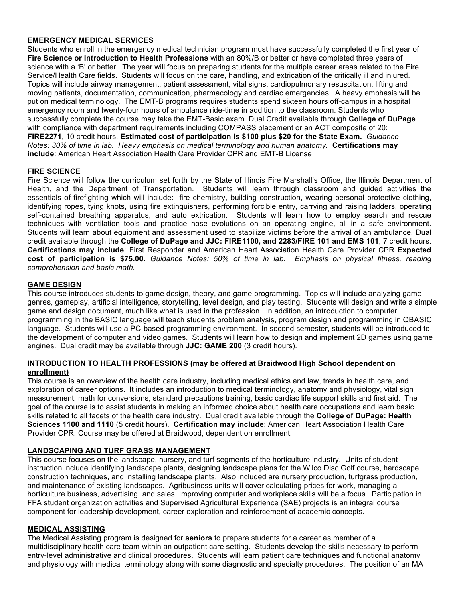### **EMERGENCY MEDICAL SERVICES**

Students who enroll in the emergency medical technician program must have successfully completed the first year of **Fire Science or Introduction to Health Professions** with an 80%/B or better or have completed three years of science with a 'B' or better. The year will focus on preparing students for the multiple career areas related to the Fire Service/Health Care fields. Students will focus on the care, handling, and extrication of the critically ill and injured. Topics will include airway management, patient assessment, vital signs, cardiopulmonary resuscitation, lifting and moving patients, documentation, communication, pharmacology and cardiac emergencies. A heavy emphasis will be put on medical terminology. The EMT-B programs requires students spend sixteen hours off-campus in a hospital emergency room and twenty-four hours of ambulance ride-time in addition to the classroom. Students who successfully complete the course may take the EMT-Basic exam. Dual Credit available through **College of DuPage** with compliance with department requirements including COMPASS placement or an ACT composite of 20: **FIRE2271**, 10 credit hours. **Estimated cost of participation is \$100 plus \$20 for the State Exam.** *Guidance Notes: 30% of time in lab. Heavy emphasis on medical terminology and human anatomy.* **Certifications may include**: American Heart Association Health Care Provider CPR and EMT-B License

# **FIRE SCIENCE**

Fire Science will follow the curriculum set forth by the State of Illinois Fire Marshall's Office, the Illinois Department of Health, and the Department of Transportation. Students will learn through classroom and guided activities the essentials of firefighting which will include: fire chemistry, building construction, wearing personal protective clothing, identifying ropes, tying knots, using fire extinguishers, performing forcible entry, carrying and raising ladders, operating self-contained breathing apparatus, and auto extrication. Students will learn how to employ search and rescue techniques with ventilation tools and practice hose evolutions on an operating engine, all in a safe environment. Students will learn about equipment and assessment used to stabilize victims before the arrival of an ambulance. Dual credit available through the **College of DuPage and JJC: FIRE1100, and 2283/FIRE 101 and EMS 101**, 7 credit hours. **Certifications may include**: First Responder and American Heart Association Health Care Provider CPR **Expected cost of participation is \$75.00.** *Guidance Notes: 50% of time in lab. Emphasis on physical fitness, reading comprehension and basic math.*

### **GAME DESIGN**

This course introduces students to game design, theory, and game programming. Topics will include analyzing game genres, gameplay, artificial intelligence, storytelling, level design, and play testing. Students will design and write a simple game and design document, much like what is used in the profession. In addition, an introduction to computer programming in the BASIC language will teach students problem analysis, program design and programming in QBASIC language. Students will use a PC-based programming environment. In second semester, students will be introduced to the development of computer and video games. Students will learn how to design and implement 2D games using game engines. Dual credit may be available through **JJC: GAME 200** (3 credit hours).

### **INTRODUCTION TO HEALTH PROFESSIONS (may be offered at Braidwood High School dependent on enrollment)**

This course is an overview of the health care industry, including medical ethics and law, trends in health care, and exploration of career options. It includes an introduction to medical terminology, anatomy and physiology, vital sign measurement, math for conversions, standard precautions training, basic cardiac life support skills and first aid. The goal of the course is to assist students in making an informed choice about health care occupations and learn basic skills related to all facets of the health care industry. Dual credit available through the **College of DuPage: Health Sciences 1100 and 1110** (5 credit hours). **Certification may include**: American Heart Association Health Care Provider CPR. Course may be offered at Braidwood, dependent on enrollment.

# **LANDSCAPING AND TURF GRASS MANAGEMENT**

This course focuses on the landscape, nursery, and turf segments of the horticulture industry. Units of student instruction include identifying landscape plants, designing landscape plans for the Wilco Disc Golf course, hardscape construction techniques, and installing landscape plants. Also included are nursery production, turfgrass production, and maintenance of existing landscapes. Agribusiness units will cover calculating prices for work, managing a horticulture business, advertising, and sales. Improving computer and workplace skills will be a focus. Participation in FFA student organization activities and Supervised Agricultural Experience (SAE) projects is an integral course component for leadership development, career exploration and reinforcement of academic concepts.

### **MEDICAL ASSISTING**

The Medical Assisting program is designed for **seniors** to prepare students for a career as member of a multidisciplinary health care team within an outpatient care setting. Students develop the skills necessary to perform entry-level administrative and clinical procedures. Students will learn patient care techniques and functional anatomy and physiology with medical terminology along with some diagnostic and specialty procedures. The position of an MA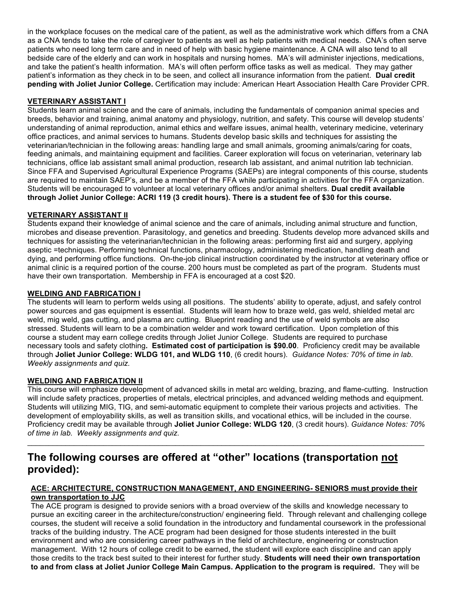in the workplace focuses on the medical care of the patient, as well as the administrative work which differs from a CNA as a CNA tends to take the role of caregiver to patients as well as help patients with medical needs. CNA's often serve patients who need long term care and in need of help with basic hygiene maintenance. A CNA will also tend to all bedside care of the elderly and can work in hospitals and nursing homes. MA's will administer injections, medications, and take the patient's health information. MA's will often perform office tasks as well as medical. They may gather patient's information as they check in to be seen, and collect all insurance information from the patient. **Dual credit pending with Joliet Junior College.** Certification may include: American Heart Association Health Care Provider CPR.

### **VETERINARY ASSISTANT I**

Students learn animal science and the care of animals, including the fundamentals of companion animal species and breeds, behavior and training, animal anatomy and physiology, nutrition, and safety. This course will develop students' understanding of animal reproduction, animal ethics and welfare issues, animal health, veterinary medicine, veterinary office practices, and animal services to humans. Students develop basic skills and techniques for assisting the veterinarian/technician in the following areas: handling large and small animals, grooming animals/caring for coats, feeding animals, and maintaining equipment and facilities. Career exploration will focus on veterinarian, veterinary lab technicians, office lab assistant small animal production, research lab assistant, and animal nutrition lab technician. Since FFA and Supervised Agricultural Experience Programs (SAEPs) are integral components of this course, students are required to maintain SAEP's, and be a member of the FFA while participating in activities for the FFA organization. Students will be encouraged to volunteer at local veterinary offices and/or animal shelters. **Dual credit available through Joliet Junior College: ACRI 119 (3 credit hours). There is a student fee of \$30 for this course.**

### **VETERINARY ASSISTANT II**

Students expand their knowledge of animal science and the care of animals, including animal structure and function, microbes and disease prevention. Parasitology, and genetics and breeding. Students develop more advanced skills and techniques for assisting the veterinarian/technician in the following areas: performing first aid and surgery, applying aseptic =techniques. Performing technical functions, pharmacology, administering medication, handling death and dying, and performing office functions. On-the-job clinical instruction coordinated by the instructor at veterinary office or animal clinic is a required portion of the course. 200 hours must be completed as part of the program. Students must have their own transportation. Membership in FFA is encouraged at a cost \$20.

### **WELDING AND FABRICATION I**

The students will learn to perform welds using all positions. The students' ability to operate, adjust, and safely control power sources and gas equipment is essential. Students will learn how to braze weld, gas weld, shielded metal arc weld, mig weld, gas cutting, and plasma arc cutting. Blueprint reading and the use of weld symbols are also stressed. Students will learn to be a combination welder and work toward certification. Upon completion of this course a student may earn college credits through Joliet Junior College. Students are required to purchase necessary tools and safety clothing**. Estimated cost of participation is \$90.00**. Proficiency credit may be available through **Joliet Junior College: WLDG 101, and WLDG 110**, (6 credit hours). *Guidance Notes: 70% of time in lab. Weekly assignments and quiz.* 

### **WELDING AND FABRICATION II**

This course will emphasize development of advanced skills in metal arc welding, brazing, and flame-cutting. Instruction will include safety practices, properties of metals, electrical principles, and advanced welding methods and equipment. Students will utilizing MIG, TIG, and semi-automatic equipment to complete their various projects and activities. The development of employability skills, as well as transition skills, and vocational ethics, will be included in the course. Proficiency credit may be available through **Joliet Junior College: WLDG 120**, (3 credit hours). *Guidance Notes: 70% of time in lab. Weekly assignments and quiz.* 

 $\_$  , and the state of the state of the state of the state of the state of the state of the state of the state of the state of the state of the state of the state of the state of the state of the state of the state of the

# **The following courses are offered at "other" locations (transportation not provided):**

### **ACE: ARCHITECTURE, CONSTRUCTION MANAGEMENT, AND ENGINEERING- SENIORS must provide their own transportation to JJC**

The ACE program is designed to provide seniors with a broad overview of the skills and knowledge necessary to pursue an exciting career in the architecture/construction/ engineering field. Through relevant and challenging college courses, the student will receive a solid foundation in the introductory and fundamental coursework in the professional tracks of the building industry. The ACE program had been designed for those students interested in the built environment and who are considering career pathways in the field of architecture, engineering or construction management. With 12 hours of college credit to be earned, the student will explore each discipline and can apply those credits to the track best suited to their interest for further study. **Students will need their own transportation to and from class at Joliet Junior College Main Campus. Application to the program is required.** They will be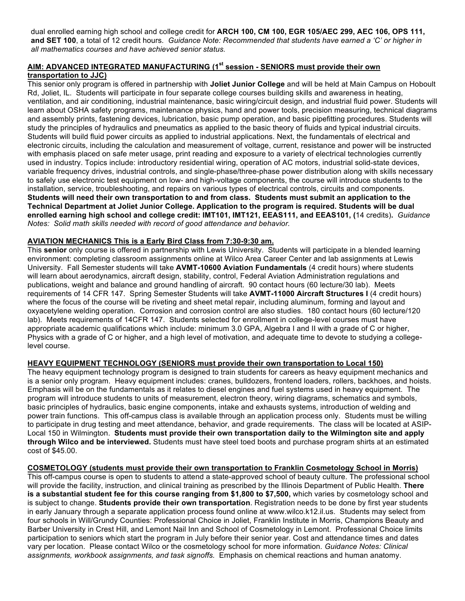dual enrolled earning high school and college credit for **ARCH 100, CM 100, EGR 105/AEC 299, AEC 106, OPS 111, and SET 100**, a total of 12 credit hours. *Guidance Note: Recommended that students have earned a 'C' or higher in all mathematics courses and have achieved senior status.*

# **AIM: ADVANCED INTEGRATED MANUFACTURING (1st session - SENIORS must provide their own transportation to JJC)**

This senior only program is offered in partnership with **Joliet Junior College** and will be held at Main Campus on Hoboult Rd, Joliet, IL. Students will participate in four separate college courses building skills and awareness in heating, ventilation, and air conditioning, industrial maintenance, basic wiring/circuit design, and industrial fluid power. Students will learn about OSHA safety programs, maintenance physics, hand and power tools, precision measuring, technical diagrams and assembly prints, fastening devices, lubrication, basic pump operation, and basic pipefitting procedures. Students will study the principles of hydraulics and pneumatics as applied to the basic theory of fluids and typical industrial circuits. Students will build fluid power circuits as applied to industrial applications. Next, the fundamentals of electrical and electronic circuits, including the calculation and measurement of voltage, current, resistance and power will be instructed with emphasis placed on safe meter usage, print reading and exposure to a variety of electrical technologies currently used in industry. Topics include: introductory residential wiring, operation of AC motors, industrial solid-state devices, variable frequency drives, industrial controls, and single-phase/three-phase power distribution along with skills necessary to safely use electronic test equipment on low- and high-voltage components, the course will introduce students to the installation, service, troubleshooting, and repairs on various types of electrical controls, circuits and components. **Students will need their own transportation to and from class. Students must submit an application to the Technical Department at Joliet Junior College. Application to the program is required. Students will be dual enrolled earning high school and college credit: IMT101, IMT121, EEAS111, and EEAS101, (**14 credits)**.** *Guidance Notes: Solid math skills needed with record of good attendance and behavior.*

# **AVIATION MECHANICS This is a Early Bird Class from 7:30-9:30 am.**

This **senior** only course is offered in partnership with Lewis University. Students will participate in a blended learning environment: completing classroom assignments online at Wilco Area Career Center and lab assignments at Lewis University. Fall Semester students will take **AVMT-10600 Aviation Fundamentals** (4 credit hours) where students will learn about aerodynamics, aircraft design, stability, control, Federal Aviation Administration regulations and publications, weight and balance and ground handling of aircraft. 90 contact hours (60 lecture/30 lab). Meets requirements of 14 CFR 147. Spring Semester Students will take **AVMT-11000 Aircraft Structures I** (4 credit hours) where the focus of the course will be riveting and sheet metal repair, including aluminum, forming and layout and oxyacetylene welding operation. Corrosion and corrosion control are also studies. 180 contact hours (60 lecture/120 lab). Meets requirements of 14CFR 147. Students selected for enrollment in college-level courses must have appropriate academic qualifications which include: minimum 3.0 GPA, Algebra I and II with a grade of C or higher, Physics with a grade of C or higher, and a high level of motivation, and adequate time to devote to studying a collegelevel course.

# **HEAVY EQUIPMENT TECHNOLOGY (SENIORS must provide their own transportation to Local 150)**

The heavy equipment technology program is designed to train students for careers as heavy equipment mechanics and is a senior only program. Heavy equipment includes: cranes, bulldozers, frontend loaders, rollers, backhoes, and hoists. Emphasis will be on the fundamentals as it relates to diesel engines and fuel systems used in heavy equipment. The program will introduce students to units of measurement, electron theory, wiring diagrams, schematics and symbols, basic principles of hydraulics, basic engine components, intake and exhausts systems, introduction of welding and power train functions. This off-campus class is available through an application process only. Students must be willing to participate in drug testing and meet attendance, behavior, and grade requirements. The class will be located at ASIP-Local 150 in Wilmington. **Students must provide their own transportation daily to the Wilmington site and apply through Wilco and be interviewed.** Students must have steel toed boots and purchase program shirts at an estimated cost of \$45.00.

# **COSMETOLOGY (students must provide their own transportation to Franklin Cosmetology School in Morris)**

This off-campus course is open to students to attend a state-approved school of beauty culture. The professional school will provide the facility, instruction, and clinical training as prescribed by the Illinois Department of Public Health. **There is a substantial student fee for this course ranging from \$1,800 to \$7,500,** which varies by cosmetology school and is subject to change. **Students provide their own transportation**. Registration needs to be done by first year students in early January through a separate application process found online at www.wilco.k12.il.us. Students may select from four schools in Will/Grundy Counties: Professional Choice in Joliet, Franklin Institute in Morris, Champions Beauty and Barber University in Crest Hill, and Lemont Nail Inn and School of Cosmetology in Lemont. Professional Choice limits participation to seniors which start the program in July before their senior year. Cost and attendance times and dates vary per location. Please contact Wilco or the cosmetology school for more information. *Guidance Notes: Clinical assignments, workbook assignments, and task signoffs.* Emphasis on chemical reactions and human anatomy.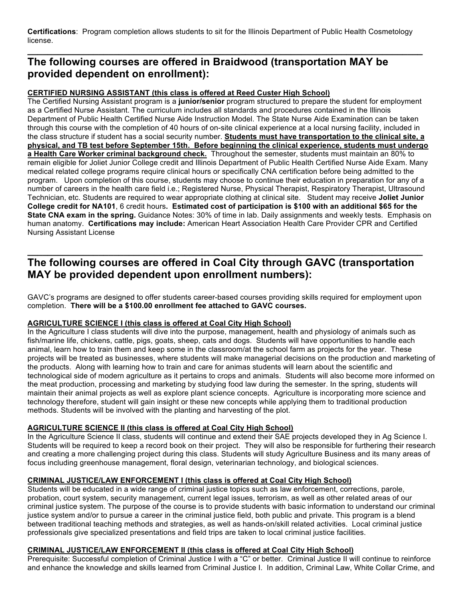**Certifications**: Program completion allows students to sit for the Illinois Department of Public Health Cosmetology license.

**\_\_\_\_\_\_\_\_\_\_\_\_\_\_\_\_\_\_\_\_\_\_\_\_\_\_\_\_\_\_\_\_\_\_\_\_\_\_\_\_\_\_\_\_\_\_\_\_\_\_\_\_\_\_\_\_\_\_\_\_\_\_\_\_\_\_\_\_\_\_\_\_\_\_\_\_\_\_**

# **The following courses are offered in Braidwood (transportation MAY be provided dependent on enrollment):**

### **CERTIFIED NURSING ASSISTANT (this class is offered at Reed Custer High School)**

The Certified Nursing Assistant program is a **junior/senior** program structured to prepare the student for employment as a Certified Nurse Assistant. The curriculum includes all standards and procedures contained in the Illinois Department of Public Health Certified Nurse Aide Instruction Model. The State Nurse Aide Examination can be taken through this course with the completion of 40 hours of on-site clinical experience at a local nursing facility, included in the class structure if student has a social security number. **Students must have transportation to the clinical site, a physical, and TB test before September 15th. Before beginning the clinical experience, students must undergo a Health Care Worker criminal background check.** Throughout the semester, students must maintain an 80% to remain eligible for Joliet Junior College credit and Illinois Department of Public Health Certified Nurse Aide Exam. Many medical related college programs require clinical hours or specifically CNA certification before being admitted to the program. Upon completion of this course, students may choose to continue their education in preparation for any of a number of careers in the health care field i.e.; Registered Nurse, Physical Therapist, Respiratory Therapist, Ultrasound Technician, etc. Students are required to wear appropriate clothing at clinical site. Student may receive **Joliet Junior College credit for NA101**, 6 credit hours**. Estimated cost of participation is \$100 with an additional \$65 for the State CNA exam in the spring.** Guidance Notes: 30% of time in lab. Daily assignments and weekly tests. Emphasis on human anatomy. **Certifications may include:** American Heart Association Health Care Provider CPR and Certified Nursing Assistant License

# **The following courses are offered in Coal City through GAVC (transportation MAY be provided dependent upon enrollment numbers):**

**\_\_\_\_\_\_\_\_\_\_\_\_\_\_\_\_\_\_\_\_\_\_\_\_\_\_\_\_\_\_\_\_\_\_\_\_\_\_\_\_\_\_\_\_\_\_\_\_\_\_\_\_\_\_\_\_\_\_\_\_\_\_\_\_\_\_\_\_\_\_\_\_\_\_\_\_\_\_**

GAVC's programs are designed to offer students career-based courses providing skills required for employment upon completion. **There will be a \$100.00 enrollment fee attached to GAVC courses.**

# **AGRICULTURE SCIENCE I (this class is offered at Coal City High School)**

In the Agriculture I class students will dive into the purpose, management, health and physiology of animals such as fish/marine life, chickens, cattle, pigs, goats, sheep, cats and dogs. Students will have opportunities to handle each animal, learn how to train them and keep some in the classroom/at the school farm as projects for the year. These projects will be treated as businesses, where students will make managerial decisions on the production and marketing of the products. Along with learning how to train and care for animas students will learn about the scientific and technological side of modern agriculture as it pertains to crops and animals. Students will also become more informed on the meat production, processing and marketing by studying food law during the semester. In the spring, students will maintain their animal projects as well as explore plant science concepts. Agriculture is incorporating more science and technology therefore, student will gain insight or these new concepts while applying them to traditional production methods. Students will be involved with the planting and harvesting of the plot.

# **AGRICULTURE SCIENCE II (this class is offered at Coal City High School)**

In the Agriculture Science II class, students will continue and extend their SAE projects developed they in Ag Science I. Students will be required to keep a record book on their project. They will also be responsible for furthering their research and creating a more challenging project during this class. Students will study Agriculture Business and its many areas of focus including greenhouse management, floral design, veterinarian technology, and biological sciences.

# **CRIMINAL JUSTICE/LAW ENFORCEMENT I (this class is offered at Coal City High School)**

Students will be educated in a wide range of criminal justice topics such as law enforcement, corrections, parole, probation, court system, security management, current legal issues, terrorism, as well as other related areas of our criminal justice system. The purpose of the course is to provide students with basic information to understand our criminal justice system and/or to pursue a career in the criminal justice field, both public and private. This program is a blend between traditional teaching methods and strategies, as well as hands-on/skill related activities. Local criminal justice professionals give specialized presentations and field trips are taken to local criminal justice facilities.

# **CRIMINAL JUSTICE/LAW ENFORCEMENT II (this class is offered at Coal City High School)**

Prerequisite: Successful completion of Criminal Justice I with a "C" or better. Criminal Justice II will continue to reinforce and enhance the knowledge and skills learned from Criminal Justice I. In addition, Criminal Law, White Collar Crime, and